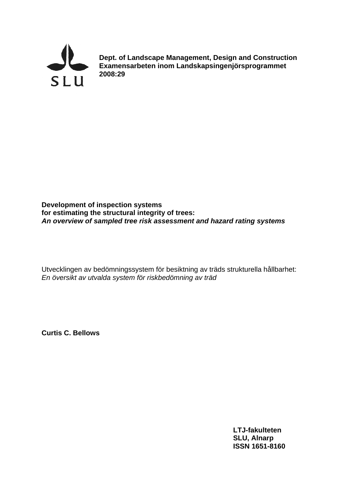

**Dept. of Landscape Management, Design and Construction Examensarbeten inom Landskapsingenjörsprogrammet 2008:29**

## **Development of inspection systems for estimating the structural integrity of trees:**  *An overview of sampled tree risk assessment and hazard rating systems*

Utvecklingen av bedömningssystem för besiktning av träds strukturella hållbarhet: *En översikt av utvalda system för riskbedömning av träd* 

**Curtis C. Bellows**

**LTJ-fakulteten SLU, Alnarp ISSN 1651-8160**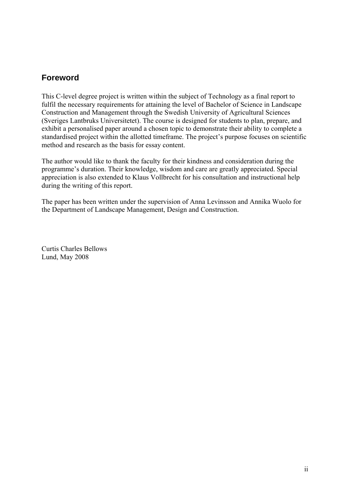## **Foreword**

This C-level degree project is written within the subject of Technology as a final report to fulfil the necessary requirements for attaining the level of Bachelor of Science in Landscape Construction and Management through the Swedish University of Agricultural Sciences (Sveriges Lantbruks Universitetet). The course is designed for students to plan, prepare, and exhibit a personalised paper around a chosen topic to demonstrate their ability to complete a standardised project within the allotted timeframe. The project's purpose focuses on scientific method and research as the basis for essay content.

The author would like to thank the faculty for their kindness and consideration during the programme's duration. Their knowledge, wisdom and care are greatly appreciated. Special appreciation is also extended to Klaus Vollbrecht for his consultation and instructional help during the writing of this report.

The paper has been written under the supervision of Anna Levinsson and Annika Wuolo for the Department of Landscape Management, Design and Construction.

Curtis Charles Bellows Lund, May 2008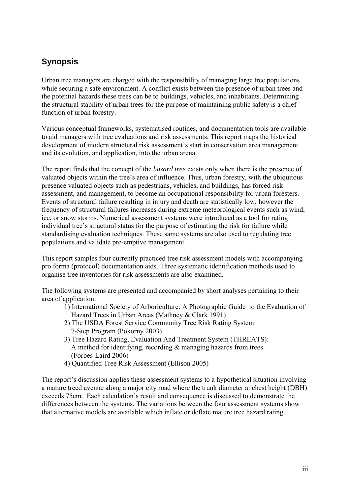# **Synopsis**

Urban tree managers are charged with the responsibility of managing large tree populations while securing a safe environment. A conflict exists between the presence of urban trees and the potential hazards these trees can be to buildings, vehicles, and inhabitants. Determining the structural stability of urban trees for the purpose of maintaining public safety is a chief function of urban forestry.

Various conceptual frameworks, systematised routines, and documentation tools are available to aid managers with tree evaluations and risk assessments. This report maps the historical development of modern structural risk assessment's start in conservation area management and its evolution, and application, into the urban arena.

The report finds that the concept of the *hazard tree* exists only when there is the presence of valuated objects within the tree's area of influence. Thus, urban forestry, with the ubiquitous presence valuated objects such as pedestrians, vehicles, and buildings, has forced risk assessment, and management, to become an occupational responsibility for urban foresters. Events of structural failure resulting in injury and death are statistically low; however the frequency of structural failures increases during extreme meteorological events such as wind, ice, or snow storms. Numerical assessment systems were introduced as a tool for rating individual tree's structural status for the purpose of estimating the risk for failure while standardising evaluation techniques. These same systems are also used to regulating tree populations and validate pre-emptive management.

This report samples four currently practiced tree risk assessment models with accompanying pro forma (protocol) documentation aids. Three systematic identification methods used to organise tree inventories for risk assessments are also examined.

The following systems are presented and accompanied by short analyses pertaining to their area of application:

- 1) International Society of Arboriculture: A Photographic Guide to the Evaluation of Hazard Trees in Urban Areas (Mathney & Clark 1991)
- 2) The USDA Forest Service Community Tree Risk Rating System: 7-Step Program (Pokorny 2003)
- 3) Tree Hazard Rating, Evaluation And Treatment System (THREATS): A method for identifying, recording & managing hazards from trees (Forbes-Laird 2006)
- 4) Quantified Tree Risk Assessment (Ellison 2005)

The report's discussion applies these assessment systems to a hypothetical situation involving a mature treed avenue along a major city road where the trunk diameter at chest height (DBH) exceeds 75cm. Each calculation's result and consequence is discussed to demonstrate the differences between the systems. The variations between the four assessment systems show that alternative models are available which inflate or deflate mature tree hazard rating.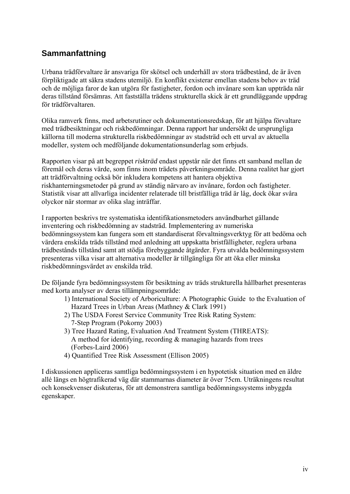# **Sammanfattning**

Urbana trädförvaltare är ansvariga för skötsel och underhåll av stora trädbestånd, de är även förpliktigade att säkra stadens utemiljö. En konflikt existerar emellan stadens behov av träd och de möjliga faror de kan utgöra för fastigheter, fordon och invånare som kan uppträda när deras tillstånd försämras. Att fastställa trädens strukturella skick är ett grundläggande uppdrag för trädförvaltaren.

Olika ramverk finns, med arbetsrutiner och dokumentationsredskap, för att hjälpa förvaltare med trädbesiktningar och riskbedömningar. Denna rapport har undersökt de ursprungliga källorna till moderna strukturella riskbedömningar av stadsträd och ett urval av aktuella modeller, system och medföljande dokumentationsunderlag som erbjuds.

Rapporten visar på att begreppet *riskträd* endast uppstår när det finns ett samband mellan de föremål och deras värde, som finns inom trädets påverkningsområde. Denna realitet har gjort att trädförvaltning också bör inkludera kompetens att hantera objektiva riskhanterningsmetoder på grund av ständig närvaro av invånare, fordon och fastigheter. Statistik visar att allvarliga incidenter relaterade till bristfälliga träd är låg, dock ökar svåra olyckor när stormar av olika slag inträffar.

I rapporten beskrivs tre systematiska identifikationsmetoders användbarhet gällande inventering och riskbedömning av stadsträd. Implementering av numeriska bedömningssystem kan fungera som ett standardiserat förvaltningsverktyg för att bedöma och värdera enskilda träds tillstånd med anledning att uppskatta bristfälligheter, reglera urbana trädbestånds tillstånd samt att stödja förebyggande åtgärder. Fyra utvalda bedömningssystem presenteras vilka visar att alternativa modeller är tillgängliga för att öka eller minska riskbedömningsvärdet av enskilda träd.

De följande fyra bedömningssystem för besiktning av träds strukturella hållbarhet presenteras med korta analyser av deras tillämpningsområde:

- 1) International Society of Arboriculture: A Photographic Guide to the Evaluation of Hazard Trees in Urban Areas (Mathney & Clark 1991)
- 2) The USDA Forest Service Community Tree Risk Rating System: 7-Step Program (Pokorny 2003)
- 3) Tree Hazard Rating, Evaluation And Treatment System (THREATS): A method for identifying, recording & managing hazards from trees (Forbes-Laird 2006)
- 4) Quantified Tree Risk Assessment (Ellison 2005)

I diskussionen appliceras samtliga bedömningssystem i en hypotetisk situation med en äldre allé längs en högtrafikerad väg där stammarnas diameter är över 75cm. Uträkningens resultat och konsekvenser diskuteras, för att demonstrera samtliga bedömningssystems inbyggda egenskaper.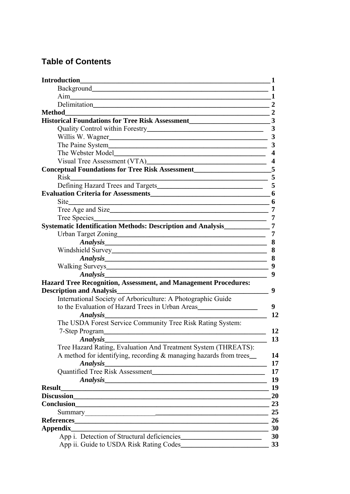# **Table of Contents**

| <b>Introduction</b>                                                                                                                     | 1                       |
|-----------------------------------------------------------------------------------------------------------------------------------------|-------------------------|
|                                                                                                                                         | 1                       |
|                                                                                                                                         | 1                       |
| Delimitation 2                                                                                                                          |                         |
| <b>Method</b>                                                                                                                           |                         |
| Historical Foundations for Tree Risk Assessment                                                                                         | 3                       |
|                                                                                                                                         | 3                       |
|                                                                                                                                         |                         |
| The Paine System                                                                                                                        | $\overline{\mathbf{3}}$ |
|                                                                                                                                         | $\overline{\mathbf{4}}$ |
|                                                                                                                                         | $\boldsymbol{4}$        |
| Conceptual Foundations for Tree Risk Assessment<br>5                                                                                    |                         |
| Risk<br>the control of the control of the control of the control of the control of the control of                                       | 5                       |
|                                                                                                                                         | 5                       |
|                                                                                                                                         | 6                       |
|                                                                                                                                         | 6                       |
|                                                                                                                                         | 7                       |
| Tree Species                                                                                                                            | 7                       |
| <b>Systematic Identification Methods: Description and Analysis</b>                                                                      | 7                       |
|                                                                                                                                         | 7                       |
| Analysis 8                                                                                                                              |                         |
|                                                                                                                                         |                         |
| Analysis 8                                                                                                                              |                         |
|                                                                                                                                         |                         |
| <i>Analysis</i> <u>Analysis</u>                                                                                                         | 9                       |
| <b>Hazard Tree Recognition, Assessment, and Management Procedures:</b>                                                                  |                         |
| <b>Description and Analysis</b>                                                                                                         | 9                       |
| International Society of Arboriculture: A Photographic Guide                                                                            |                         |
| to the Evaluation of Hazard Trees in Urban Areas                                                                                        | 9                       |
| Analysis                                                                                                                                | 12                      |
| The USDA Forest Service Community Tree Risk Rating System:                                                                              |                         |
| 7-Step Program                                                                                                                          | 12                      |
|                                                                                                                                         | 13                      |
| Tree Hazard Rating, Evaluation And Treatment System (THREATS):                                                                          |                         |
| A method for identifying, recording & managing hazards from trees_                                                                      | 14                      |
| <b>Analysis</b><br><u> 2000 - Jan James James Jan James James James James James James James James James James James James James Jam</u> | 17                      |
|                                                                                                                                         | 17                      |
|                                                                                                                                         | 19                      |
| <b>Result</b>                                                                                                                           | 19                      |
| Discussion <b>Discussion</b>                                                                                                            | 20                      |
|                                                                                                                                         | 23                      |
|                                                                                                                                         | 25                      |
|                                                                                                                                         | 26                      |
| <b>Appendix</b>                                                                                                                         | 30                      |
| App i. Detection of Structural deficiencies                                                                                             | 30                      |
| App ii. Guide to USDA Risk Rating Codes                                                                                                 | 33                      |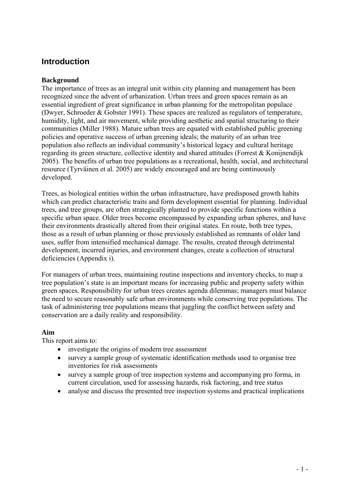## **Introduction**

## **Background**

The importance of trees as an integral unit within city planning and management has been recognized since the advent of urbanization. Urban trees and green spaces remain as an essential ingredient of great significance in urban planning for the metropolitan populace (Dwyer, Schroeder & Gobster 1991). These spaces are realized as regulators of temperature, humidity, light, and air movement, while providing aesthetic and spatial structuring to their communities (Miller 1988). Mature urban trees are equated with established public greening policies and operative success of urban greening ideals; the maturity of an urban tree population also reflects an individual community's historical legacy and cultural heritage regarding its green structure, collective identity and shared attitudes (Forrest & Konijnendijk 2005). The benefits of urban tree populations as a recreational, health, social, and architectural resource (Tyrväinen et al. 2005) are widely encouraged and are being continuously developed.

Trees, as biological entities within the urban infrastructure, have predisposed growth habits which can predict characteristic traits and form development essential for planning. Individual trees, and tree groups, are often strategically planted to provide specific functions within a specific urban space. Older trees become encompassed by expanding urban spheres, and have their environments drastically altered from their original states. En route, both tree types, those as a result of urban planning or those previously established as remnants of older land uses, suffer from intensified mechanical damage. The results, created through detrimental development, incurred injuries, and environment changes, create a collection of structural deficiencies (Appendix i).

For managers of urban trees, maintaining routine inspections and inventory checks, to map a tree population's state is an important means for increasing public and property safety within green spaces. Responsibility for urban trees creates agenda dilemmas; managers must balance the need to secure reasonably safe urban environments while conserving tree populations. The task of administering tree populations means that juggling the conflict between safety and conservation are a daily reality and responsibility.

## **Aim**

This report aims to:

- investigate the origins of modern tree assessment
- survey a sample group of systematic identification methods used to organise tree inventories for risk assessments
- survey a sample group of tree inspection systems and accompanying pro forma, in current circulation, used for assessing hazards, risk factoring, and tree status
- analyse and discuss the presented tree inspection systems and practical implications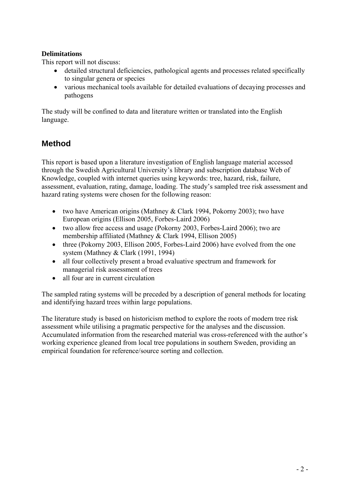## **Delimitations**

This report will not discuss:

- detailed structural deficiencies, pathological agents and processes related specifically to singular genera or species
- various mechanical tools available for detailed evaluations of decaying processes and pathogens

The study will be confined to data and literature written or translated into the English language.

## **Method**

This report is based upon a literature investigation of English language material accessed through the Swedish Agricultural University's library and subscription database Web of Knowledge, coupled with internet queries using keywords: tree, hazard, risk, failure, assessment, evaluation, rating, damage, loading. The study's sampled tree risk assessment and hazard rating systems were chosen for the following reason:

- two have American origins (Mathney & Clark 1994, Pokorny 2003); two have European origins (Ellison 2005, Forbes-Laird 2006)
- two allow free access and usage (Pokorny 2003, Forbes-Laird 2006); two are membership affiliated (Mathney & Clark 1994, Ellison 2005)
- three (Pokorny 2003, Ellison 2005, Forbes-Laird 2006) have evolved from the one system (Mathney & Clark (1991, 1994)
- all four collectively present a broad evaluative spectrum and framework for managerial risk assessment of trees
- all four are in current circulation

The sampled rating systems will be preceded by a description of general methods for locating and identifying hazard trees within large populations.

The literature study is based on historicism method to explore the roots of modern tree risk assessment while utilising a pragmatic perspective for the analyses and the discussion. Accumulated information from the researched material was cross-referenced with the author's working experience gleaned from local tree populations in southern Sweden, providing an empirical foundation for reference/source sorting and collection.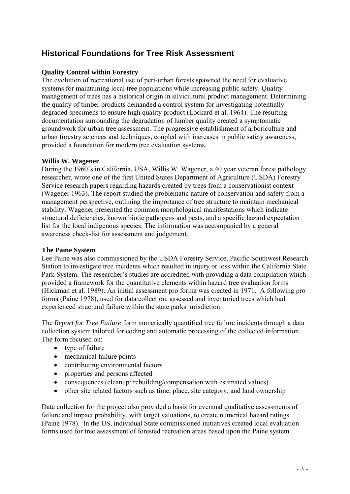# **Historical Foundations for Tree Risk Assessment**

## **Quality Control within Forestry**

The evolution of recreational use of peri-urban forests spawned the need for evaluative systems for maintaining local tree populations while increasing public safety. Quality management of trees has a historical origin in silvicultural product management. Determining the quality of timber products demanded a control system for investigating potentially degraded specimens to ensure high quality product (Lockard et al. 1964). The resulting documentation surrounding the degradation of lumber quality created a symptomatic groundwork for urban tree assessment. The progressive establishment of arboriculture and urban forestry sciences and techniques, coupled with increases in public safety awareness, provided a foundation for modern tree evaluation systems.

### **Willis W. Wagener**

During the 1960's in California, USA, Willis W. Wagener, a 40 year veteran forest pathology researcher, wrote one of the first United States Department of Agriculture (USDA) Forestry Service research papers regarding hazards created by trees from a conservationist context (Wagener 1963). The report studied the problematic nature of conservation and safety from a management perspective, outlining the importance of tree structure to maintain mechanical stability. Wagener presented the common morphological manifestations which indicate structural deficiencies, known biotic pathogens and pests, and a specific hazard expectation list for the local indigenous species. The information was accompanied by a general awareness check-list for assessment and judgement.

## **The Paine System**

Lee Paine was also commissioned by the USDA Forestry Service, Pacific Southwest Research Station to investigate tree incidents which resulted in injury or loss within the California State Park System. The researcher's studies are accredited with providing a data compilation which provided a framework for the quantitative elements within hazard tree evaluation forms (Hickman et al. 1989). An initial assessment pro forma was created in 1971. A following pro forma (Paine 1978), used for data collection, assessed and inventoried trees which had experienced structural failure within the state parks jurisdiction.

The *Report for Tree Failure* form numerically quantified tree failure incidents through a data collection system tailored for coding and automatic processing of the collected information. The form focused on:

- type of failure
- mechanical failure points
- contributing environmental factors
- properties and persons affected
- consequences (cleanup/ rebuilding/compensation with estimated values)
- other site related factors such as time, place, site category, and land ownership

Data collection for the project also provided a basis for eventual qualitative assessments of failure and impact probability, with target valuations, to create numerical hazard ratings (Paine 1978). In the US, individual State commissioned initiatives created local evaluation forms used for tree assessment of forested recreation areas based upon the Paine system.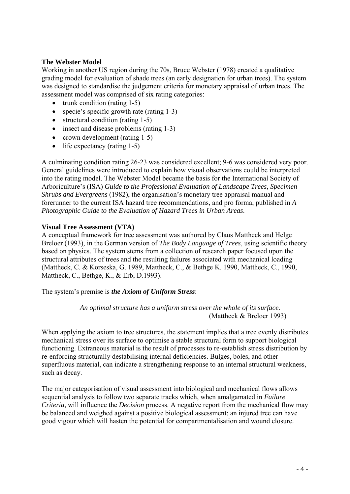## **The Webster Model**

Working in another US region during the 70s, Bruce Webster (1978) created a qualitative grading model for evaluation of shade trees (an early designation for urban trees). The system was designed to standardise the judgement criteria for monetary appraisal of urban trees. The assessment model was comprised of six rating categories:

- trunk condition (rating  $1-5$ )
- specie's specific growth rate (rating 1-3)
- structural condition (rating 1-5)
- insect and disease problems (rating 1-3)
- crown development (rating 1-5)
- $\bullet$  life expectancy (rating 1-5)

A culminating condition rating 26-23 was considered excellent; 9-6 was considered very poor. General guidelines were introduced to explain how visual observations could be interpreted into the rating model. The Webster Model became the basis for the International Society of Arboriculture's (ISA) *Guide to the Professional Evaluation of Landscape Trees, Specimen Shrubs and Evergreens* (1982), the organisation's monetary tree appraisal manual and forerunner to the current ISA hazard tree recommendations, and pro forma, published in *A Photographic Guide to the Evaluation of Hazard Trees in Urban Areas*.

### **Visual Tree Assessment (VTA)**

A conceptual framework for tree assessment was authored by Claus Mattheck and Helge Breloer (1993), in the German version of *The Body Language of Trees*, using scientific theory based on physics. The system stems from a collection of research paper focused upon the structural attributes of trees and the resulting failures associated with mechanical loading ([Mattheck, C.](http://apps.isiknowledge.com/OneClickSearch.do?product=UA&search_mode=OneClickSearch&doc=83&db_id=&SID=V11jhLclHIHGDmeJkNi&field=AU&value=Mattheck,%20C.&ut=19900638822&pos=1) & [Korseska, G.](http://apps.isiknowledge.com/OneClickSearch.do?product=UA&search_mode=OneClickSearch&doc=83&db_id=&SID=V11jhLclHIHGDmeJkNi&field=AU&value=Korseska,%20G.&ut=19900638822&pos=1) 1989, Mattheck, C., & Bethge K. 1990, Mattheck, C., 1990, Mattheck, C., Bethge, K., & Erb, D.1993).

The system's premise is *the Axiom of Uniform Stress*:

*An optimal structure has a uniform stress over the whole of its surface.*  (Mattheck & Breloer 1993)

When applying the axiom to tree structures, the statement implies that a tree evenly distributes mechanical stress over its surface to optimise a stable structural form to support biological functioning. Extraneous material is the result of processes to re-establish stress distribution by re-enforcing structurally destabilising internal deficiencies. Bulges, boles, and other superfluous material, can indicate a strengthening response to an internal structural weakness, such as decay.

The major categorisation of visual assessment into biological and mechanical flows allows sequential analysis to follow two separate tracks which, when amalgamated in *Failure Criteria*, will influence the *Decision* process. A negative report from the mechanical flow may be balanced and weighed against a positive biological assessment; an injured tree can have good vigour which will hasten the potential for compartmentalisation and wound closure.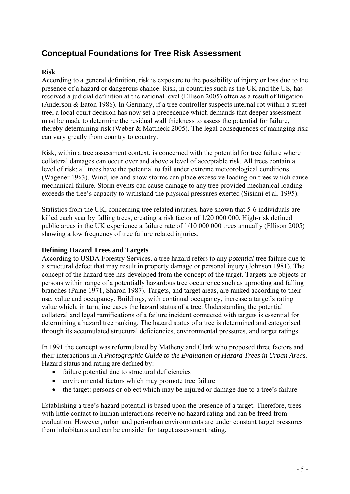# **Conceptual Foundations for Tree Risk Assessment**

## **Risk**

According to a general definition, risk is exposure to the possibility of injury or loss due to the presence of a hazard or dangerous chance. Risk, in countries such as the UK and the US, has received a judicial definition at the national level (Ellison 2005) often as a result of litigation (Anderson & Eaton 1986). In Germany, if a tree controller suspects internal rot within a street tree, a local court decision has now set a precedence which demands that deeper assessment must be made to determine the residual wall thickness to assess the potential for failure, thereby determining risk (Weber & Mattheck 2005). The legal consequences of managing risk can vary greatly from country to country.

Risk, within a tree assessment context, is concerned with the potential for tree failure where collateral damages can occur over and above a level of acceptable risk. All trees contain a level of risk; all trees have the potential to fail under extreme meteorological conditions (Wagener 1963). Wind, ice and snow storms can place excessive loading on trees which cause mechanical failure. Storm events can cause damage to any tree provided mechanical loading exceeds the tree's capacity to withstand the physical pressures exerted (Sisinni et al. 1995).

Statistics from the UK, concerning tree related injuries, have shown that 5-6 individuals are killed each year by falling trees, creating a risk factor of 1/20 000 000. High-risk defined public areas in the UK experience a failure rate of 1/10 000 000 trees annually (Ellison 2005) showing a low frequency of tree failure related injuries.

## **Defining Hazard Trees and Targets**

According to USDA Forestry Services, a tree hazard refers to any *potential* tree failure due to a structural defect that may result in property damage or personal injury (Johnson 1981). The concept of the hazard tree has developed from the concept of the target. Targets are objects or persons within range of a potentially hazardous tree occurrence such as uprooting and falling branches (Paine 1971, Sharon 1987). Targets, and target areas, are ranked according to their use, value and occupancy. Buildings, with continual occupancy, increase a target's rating value which, in turn, increases the hazard status of a tree. Understanding the potential collateral and legal ramifications of a failure incident connected with targets is essential for determining a hazard tree ranking. The hazard status of a tree is determined and categorised through its accumulated structural deficiencies, environmental pressures, and target ratings.

In 1991 the concept was reformulated by Matheny and Clark who proposed three factors and their interactions in *A Photographic Guide to the Evaluation of Hazard Trees in Urban Areas.*  Hazard status and rating are defined by:

- failure potential due to structural deficiencies
- environmental factors which may promote tree failure
- the target: persons or object which may be injured or damage due to a tree's failure

Establishing a tree's hazard potential is based upon the presence of a target. Therefore, trees with little contact to human interactions receive no hazard rating and can be freed from evaluation. However, urban and peri-urban environments are under constant target pressures from inhabitants and can be consider for target assessment rating.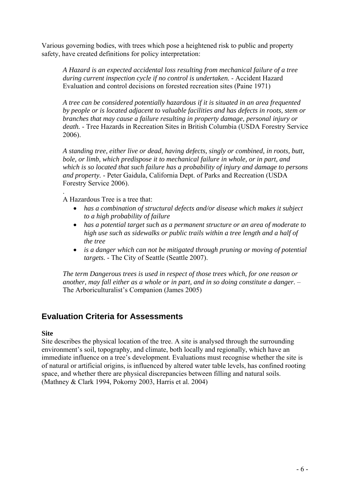Various governing bodies, with trees which pose a heightened risk to public and property safety, have created definitions for policy interpretation:

*A Hazard is an expected accidental loss resulting from mechanical failure of a tree during current inspection cycle if no control is undertaken.* - Accident Hazard Evaluation and control decisions on forested recreation sites (Paine 1971)

*A tree can be considered potentially hazardous if it is situated in an area frequented by people or is located adjacent to valuable facilities and has defects in roots, stem or branches that may cause a failure resulting in property damage, personal injury or death.* - Tree Hazards in Recreation Sites in British Columbia (USDA Forestry Service 2006).

*A standing tree, either live or dead, having defects, singly or combined, in roots, butt, bole, or limb, which predispose it to mechanical failure in whole, or in part, and which is so located that such failure has a probability of injury and damage to persons and property.* - Peter Gaidula, California Dept. of Parks and Recreation (USDA Forestry Service 2006).

A Hazardous Tree is a tree that:

.

- *has a combination of structural defects and/or disease which makes it subject to a high probability of failure*
- *has a potential target such as a permanent structure or an area of moderate to high use such as sidewalks or public trails within a tree length and a half of the tree*
- *is a danger which can not be mitigated through pruning or moving of potential targets.* - The City of Seattle (Seattle 2007).

*The term Dangerous trees is used in respect of those trees which, for one reason or another, may fall either as a whole or in part, and in so doing constitute a danger.* – The Arboriculturalist's Companion (James 2005)

## **Evaluation Criteria for Assessments**

#### **Site**

Site describes the physical location of the tree. A site is analysed through the surrounding environment's soil, topography, and climate, both locally and regionally, which have an immediate influence on a tree's development. Evaluations must recognise whether the site is of natural or artificial origins, is influenced by altered water table levels, has confined rooting space, and whether there are physical discrepancies between filling and natural soils. (Mathney & Clark 1994, Pokorny 2003, Harris et al. 2004)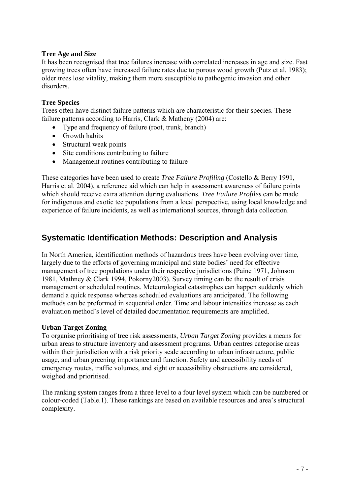## **Tree Age and Size**

It has been recognised that tree failures increase with correlated increases in age and size. Fast growing trees often have increased failure rates due to porous wood growth (Putz et al. 1983); older trees lose vitality, making them more susceptible to pathogenic invasion and other disorders.

## **Tree Species**

Trees often have distinct failure patterns which are characteristic for their species. These failure patterns according to Harris, Clark & Matheny (2004) are:

- Type and frequency of failure (root, trunk, branch)
- Growth habits
- Structural weak points
- Site conditions contributing to failure
- Management routines contributing to failure

These categories have been used to create *Tree Failure Profiling* (Costello & Berry 1991, Harris et al. 2004), a reference aid which can help in assessment awareness of failure points which should receive extra attention during evaluations. *Tree Failure Profiles* can be made for indigenous and exotic tee populations from a local perspective, using local knowledge and experience of failure incidents, as well as international sources, through data collection.

## **Systematic Identification Methods: Description and Analysis**

In North America, identification methods of hazardous trees have been evolving over time, largely due to the efforts of governing municipal and state bodies' need for effective management of tree populations under their respective jurisdictions (Paine 1971, Johnson 1981, Mathney & Clark 1994, Pokorny2003). Survey timing can be the result of crisis management or scheduled routines. Meteorological catastrophes can happen suddenly which demand a quick response whereas scheduled evaluations are anticipated. The following methods can be preformed in sequential order. Time and labour intensities increase as each evaluation method's level of detailed documentation requirements are amplified.

## **Urban Target Zoning**

To organise prioritising of tree risk assessments, *Urban Target Zoning* provides a means for urban areas to structure inventory and assessment programs. Urban centres categorise areas within their jurisdiction with a risk priority scale according to urban infrastructure, public usage, and urban greening importance and function. Safety and accessibility needs of emergency routes, traffic volumes, and sight or accessibility obstructions are considered, weighed and prioritised.

The ranking system ranges from a three level to a four level system which can be numbered or colour-coded (Table.1). These rankings are based on available resources and area's structural complexity.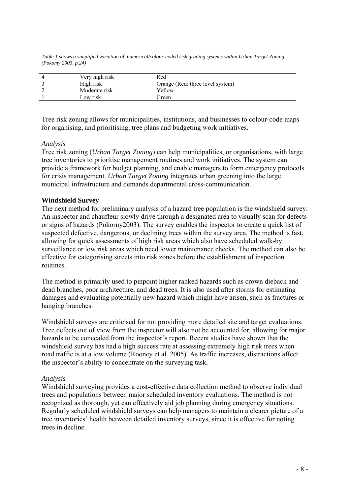*Table.1 shows a simplified variation of numerical/colour-coded risk grading systems within Urban Target Zoning (Pokomy 2003, p.24)* 

| High risk<br>Orange (Red: three level system)<br>Yellow<br>Moderate risk<br>Low risk<br>Green | Very high risk | Red |
|-----------------------------------------------------------------------------------------------|----------------|-----|
|                                                                                               |                |     |
|                                                                                               |                |     |
|                                                                                               |                |     |

Tree risk zoning allows for municipalities, institutions, and businesses to colour-code maps for organising, and prioritising, tree plans and budgeting work initiatives.

#### *Analysis*

Tree risk zoning (*Urban Target Zoning*) can help municipalities, or organisations, with large tree inventories to prioritise management routines and work initiatives. The system can provide a framework for budget planning, and enable managers to form emergency protocols for crisis management. *Urban Target Zoning* integrates urban greening into the large municipal infrastructure and demands departmental cross-communication.

### **Windshield Survey**

The next method for preliminary analysis of a hazard tree population is the windshield survey. An inspector and chauffeur slowly drive through a designated area to visually scan for defects or signs of hazards (Pokorny2003). The survey enables the inspector to create a quick list of suspected defective, dangerous, or declining trees within the survey area. The method is fast, allowing for quick assessments of high risk areas which also have scheduled walk-by surveillance or low risk areas which need lower maintenance checks. The method can also be effective for categorising streets into risk zones before the establishment of inspection routines.

The method is primarily used to pinpoint higher ranked hazards such as crown dieback and dead branches, poor architecture, and dead trees. It is also used after storms for estimating damages and evaluating potentially new hazard which might have arisen, such as fractures or hanging branches.

Windshield surveys are criticised for not providing more detailed site and target evaluations. Tree defects out of view from the inspector will also not be accounted for, allowing for major hazards to be concealed from the inspector's report. Recent studies have shown that the windshield survey has had a high success rate at assessing extremely high risk trees when road traffic is at a low volume (Rooney et al. 2005). As traffic increases, distractions affect the inspector's ability to concentrate on the surveying task.

#### *Analysis*

Windshield surveying provides a cost-effective data collection method to observe individual trees and populations between major scheduled inventory evaluations. The method is not recognized as thorough, yet can effectively aid job planning during emergency situations. Regularly scheduled windshield surveys can help managers to maintain a clearer picture of a tree inventories' health between detailed inventory surveys, since it is effective for noting trees in decline.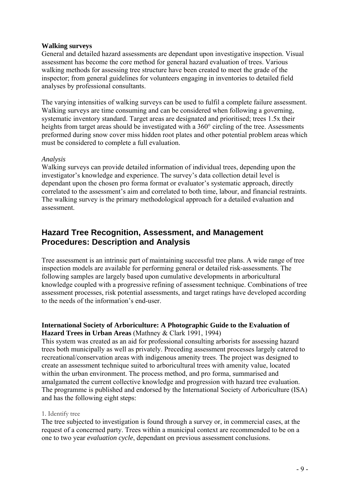### **Walking surveys**

General and detailed hazard assessments are dependant upon investigative inspection. Visual assessment has become the core method for general hazard evaluation of trees. Various walking methods for assessing tree structure have been created to meet the grade of the inspector; from general guidelines for volunteers engaging in inventories to detailed field analyses by professional consultants.

The varying intensities of walking surveys can be used to fulfil a complete failure assessment. Walking surveys are time consuming and can be considered when following a governing, systematic inventory standard. Target areas are designated and prioritised; trees 1.5x their heights from target areas should be investigated with a 360° circling of the tree. Assessments preformed during snow cover miss hidden root plates and other potential problem areas which must be considered to complete a full evaluation.

#### *Analysis*

Walking surveys can provide detailed information of individual trees, depending upon the investigator's knowledge and experience. The survey's data collection detail level is dependant upon the chosen pro forma format or evaluator's systematic approach, directly correlated to the assessment's aim and correlated to both time, labour, and financial restraints. The walking survey is the primary methodological approach for a detailed evaluation and assessment.

## **Hazard Tree Recognition, Assessment, and Management Procedures: Description and Analysis**

Tree assessment is an intrinsic part of maintaining successful tree plans. A wide range of tree inspection models are available for performing general or detailed risk-assessments. The following samples are largely based upon cumulative developments in arboricultural knowledge coupled with a progressive refining of assessment technique. Combinations of tree assessment processes, risk potential assessments, and target ratings have developed according to the needs of the information's end-user.

## **International Society of Arboriculture: A Photographic Guide to the Evaluation of Hazard Trees in Urban Areas** (Mathney & Clark 1991, 1994)

This system was created as an aid for professional consulting arborists for assessing hazard trees both municipally as well as privately. Preceding assessment processes largely catered to recreational/conservation areas with indigenous amenity trees. The project was designed to create an assessment technique suited to arboricultural trees with amenity value, located within the urban environment. The process method, and pro forma, summarised and amalgamated the current collective knowledge and progression with hazard tree evaluation. The programme is published and endorsed by the International Society of Arboriculture (ISA) and has the following eight steps:

#### 1. Identify tree

The tree subjected to investigation is found through a survey or, in commercial cases, at the request of a concerned party. Trees within a municipal context are recommended to be on a one to two year *evaluation cycle*, dependant on previous assessment conclusions.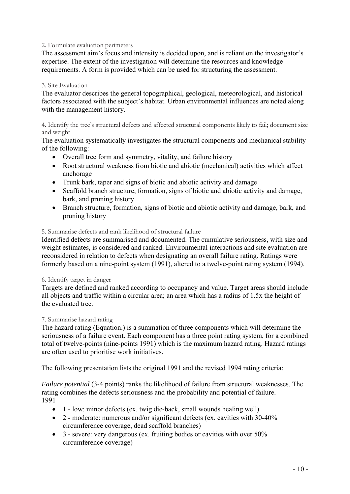### 2. Formulate evaluation perimeters

The assessment aim's focus and intensity is decided upon, and is reliant on the investigator's expertise. The extent of the investigation will determine the resources and knowledge requirements. A form is provided which can be used for structuring the assessment.

### 3. Site Evaluation

The evaluator describes the general topographical, geological, meteorological, and historical factors associated with the subject's habitat. Urban environmental influences are noted along with the management history.

4. Identify the tree's structural defects and affected structural components likely to fail; document size and weight

The evaluation systematically investigates the structural components and mechanical stability of the following:

- Overall tree form and symmetry, vitality, and failure history
- Root structural weakness from biotic and abiotic (mechanical) activities which affect anchorage
- Trunk bark, taper and signs of biotic and abiotic activity and damage
- Scaffold branch structure, formation, signs of biotic and abiotic activity and damage, bark, and pruning history
- Branch structure, formation, signs of biotic and abiotic activity and damage, bark, and pruning history

### 5. Summarise defects and rank likelihood of structural failure

Identified defects are summarised and documented. The cumulative seriousness, with size and weight estimates, is considered and ranked. Environmental interactions and site evaluation are reconsidered in relation to defects when designating an overall failure rating. Ratings were formerly based on a nine-point system (1991), altered to a twelve-point rating system (1994).

#### 6. Identify target in danger

Targets are defined and ranked according to occupancy and value. Target areas should include all objects and traffic within a circular area; an area which has a radius of 1.5x the height of the evaluated tree.

#### 7. Summarise hazard rating

The hazard rating (Equation.) is a summation of three components which will determine the seriousness of a failure event. Each component has a three point rating system, for a combined total of twelve-points (nine-points 1991) which is the maximum hazard rating. Hazard ratings are often used to prioritise work initiatives.

The following presentation lists the original 1991 and the revised 1994 rating criteria:

*Failure potential* (3-4 points) ranks the likelihood of failure from structural weaknesses. The rating combines the defects seriousness and the probability and potential of failure. 1991

- 1 low: minor defects (ex. twig die-back, small wounds healing well)
- 2 moderate: numerous and/or significant defects (ex. cavities with 30-40%) circumference coverage, dead scaffold branches)
- 3 severe: very dangerous (ex. fruiting bodies or cavities with over 50% circumference coverage)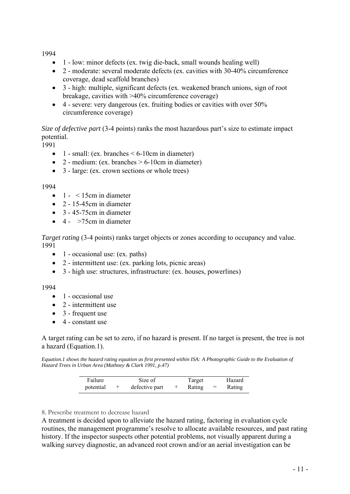1994

- 1 low: minor defects (ex. twig die-back, small wounds healing well)
- 2 moderate: several moderate defects (ex. cavities with 30-40% circumference coverage, dead scaffold branches)
- 3 high: multiple, significant defects (ex. weakened branch unions, sign of root breakage, cavities with >40% circumference coverage)
- 4 severe: very dangerous (ex. fruiting bodies or cavities with over 50% circumference coverage)

*Size of defective part* (3-4 points) ranks the most hazardous part's size to estimate impact potential.

1991

- 1 small: (ex. branches  $\leq 6$ -10cm in diameter)
- 2 medium: (ex. branches  $> 6$ -10cm in diameter)
- 3 large: (ex. crown sections or whole trees)

#### 1994

- $\bullet$  1  $\leq$  15cm in diameter
- $\bullet$  2 15-45cm in diameter
- $\bullet$  3 45-75cm in diameter
- $\bullet$  4  $>75$ cm in diameter

*Target rating* (3-4 points) ranks target objects or zones according to occupancy and value. 1991

- $\bullet$  1 occasional use: (ex. paths)
- 2 intermittent use: (ex. parking lots, picnic areas)
- 3 high use: structures, infrastructure: (ex. houses, powerlines)

#### 1994

- 1 occasional use
- $\bullet$  2 intermittent use
- 3 frequent use
- 4 constant use

A target rating can be set to zero, if no hazard is present. If no target is present, the tree is not a hazard (Equation.1).

*Equation.1 shows the hazard rating equation as first presented within ISA: A Photographic Guide to the Evaluation of Hazard Trees in Urban Area (Mathney & Clark 1991, p.47)* 

| Failure   | Size of        | Target |     | Hazard |
|-----------|----------------|--------|-----|--------|
| potential | defective part | Rating | $=$ | Rating |

#### 8. Prescribe treatment to decrease hazard

A treatment is decided upon to alleviate the hazard rating, factoring in evaluation cycle routines, the management programme's resolve to allocate available resources, and past rating history. If the inspector suspects other potential problems, not visually apparent during a walking survey diagnostic, an advanced root crown and/or an aerial investigation can be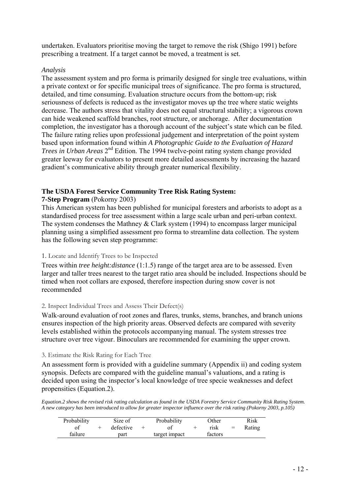undertaken. Evaluators prioritise moving the target to remove the risk (Shigo 1991) before prescribing a treatment. If a target cannot be moved, a treatment is set.

## *Analysis*

The assessment system and pro forma is primarily designed for single tree evaluations, within a private context or for specific municipal trees of significance. The pro forma is structured, detailed, and time consuming. Evaluation structure occurs from the bottom-up; risk seriousness of defects is reduced as the investigator moves up the tree where static weights decrease. The authors stress that vitality does not equal structural stability; a vigorous crown can hide weakened scaffold branches, root structure, or anchorage. After documentation completion, the investigator has a thorough account of the subject's state which can be filed. The failure rating relies upon professional judgement and interpretation of the point system based upon information found within *A Photographic Guide to the Evaluation of Hazard Trees in Urban Areas* 2<sup>nd</sup> Edition. The 1994 twelve-point rating system change provided greater leeway for evaluators to present more detailed assessments by increasing the hazard gradient's communicative ability through greater numerical flexibility.

## **The USDA Forest Service Community Tree Risk Rating System:**

## **7-Step Program** (Pokorny 2003)

This American system has been published for municipal foresters and arborists to adopt as a standardised process for tree assessment within a large scale urban and peri-urban context. The system condenses the Mathney & Clark system (1994) to encompass larger municipal planning using a simplified assessment pro forma to streamline data collection. The system has the following seven step programme:

## 1. Locate and Identify Trees to be Inspected

Trees within *tree height:distance* (1:1.5) range of the target area are to be assessed. Even larger and taller trees nearest to the target ratio area should be included. Inspections should be timed when root collars are exposed, therefore inspection during snow cover is not recommended

#### 2. Inspect Individual Trees and Assess Their Defect(s)

Walk-around evaluation of root zones and flares, trunks, stems, branches, and branch unions ensures inspection of the high priority areas. Observed defects are compared with severity levels established within the protocols accompanying manual. The system stresses tree structure over tree vigour. Binoculars are recommended for examining the upper crown.

#### 3. Estimate the Risk Rating for Each Tree

An assessment form is provided with a guideline summary (Appendix ii) and coding system synopsis. Defects are compared with the guideline manual's valuations, and a rating is decided upon using the inspector's local knowledge of tree specie weaknesses and defect propensities (Equation.2).

*Equation.2 shows the revised risk rating calculation as found in the USDA Forestry Service Community Risk Rating System. A new category has been introduced to allow for greater inspector influence over the risk rating (Pokorny 2003, p.105)*

| Probability | Size of   | Probability   | Other   |     | Risk   |
|-------------|-----------|---------------|---------|-----|--------|
|             | defective |               | rısk    | $=$ | Rating |
| failure     | part      | target impact | factors |     |        |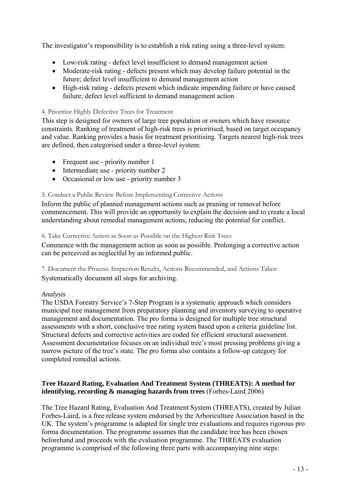The investigator's responsibility is to establish a risk rating using a three-level system:

- Low-risk rating defect level insufficient to demand management action
- Moderate-risk rating defects present which may develop failure potential in the future; defect level insufficient to demand management action
- High-risk rating defects present which indicate impending failure or have caused failure; defect level sufficient to demand management action

## 4. Prioritize Highly Defective Trees for Treatment

This step is designed for owners of large tree population or owners which have resource constraints. Ranking of treatment of high-risk trees is prioritised, based on target occupancy and value. Ranking provides a basis for treatment prioritising. Targets nearest high-risk trees are defined, then categorised under a three-level system:

- Frequent use priority number 1
- Intermediate use priority number 2
- Occasional or low use priority number 3

### 5. Conduct a Public Review Before Implementing Corrective Actions

Inform the public of planned management actions such as pruning or removal before commencement. This will provide an opportunity to explain the decision and to create a local understanding about remedial management actions, reducing the potential for conflict.

#### 6. Take Corrective Action as Soon as Possible on the Highest Risk Trees

Commence with the management action as soon as possible. Prolonging a corrective action can be perceived as neglectful by an informed public.

7. Document the Process: Inspection Results, Actions Recommended, and Actions Taken Systematically document all steps for archiving.

## *Analysis*

The USDA Forestry Service's 7-Step Program is a systematic approach which considers municipal tree management from preparatory planning and inventory surveying to operative management and documentation. The pro forma is designed for multiple tree structural assessments with a short, conclusive tree rating system based upon a criteria guideline list. Structural defects and corrective activities are coded for efficient structural assessment. Assessment documentation focuses on an individual tree's most pressing problems giving a narrow picture of the tree's state. The pro forma also contains a follow-up category for completed remedial actions.

### **Tree Hazard Rating, Evaluation And Treatment System (THREATS): A method for identifying, recording & managing hazards from trees** (Forbes-Laird 2006)

The Tree Hazard Rating, Evaluation And Treatment System (THREATS), created by Julian Forbes-Laird, is a free release system endorsed by the Arboriculture Association based in the UK. The system's programme is adapted for single tree evaluations and requires rigorous pro forma documentation. The programme assumes that the candidate tree has been chosen beforehand and proceeds with the evaluation programme. The THREATS evaluation programme is comprised of the following three parts with accompanying nine steps: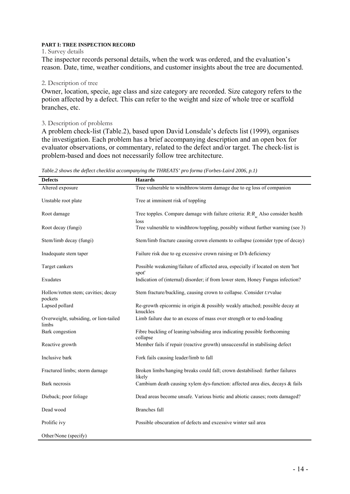#### **PART I: TREE INSPECTION RECORD**

#### 1. Survey details

The inspector records personal details, when the work was ordered, and the evaluation's reason. Date, time, weather conditions, and customer insights about the tree are documented.

#### 2. Description of tree

Owner, location, specie, age class and size category are recorded. Size category refers to the potion affected by a defect. This can refer to the weight and size of whole tree or scaffold branches, etc.

#### 3. Description of problems

A problem check-list (Table.2), based upon David Lonsdale's defects list (1999), organises the investigation. Each problem has a brief accompanying description and an open box for evaluator observations, or commentary, related to the defect and/or target. The check-list is problem-based and does not necessarily follow tree architecture.

| <b>Defects</b>                                 | <b>Hazards</b>                                                                           |
|------------------------------------------------|------------------------------------------------------------------------------------------|
| Altered exposure                               | Tree vulnerable to windthrow/storm damage due to eg loss of companion                    |
| Unstable root plate                            | Tree at imminent risk of toppling                                                        |
| Root damage                                    | Tree topples. Compare damage with failure criteria: $R:R_{\perp}$ Also consider health   |
| Root decay (fungi)                             | loss<br>Tree vulnerable to windthrow/toppling, possibly without further warning (see 3)  |
| Stem/limb decay (fungi)                        | Stem/limb fracture causing crown elements to collapse (consider type of decay)           |
| Inadequate stem taper                          | Failure risk due to eg excessive crown raising or D/h deficiency                         |
| Target cankers                                 | Possible weakening/failure of affected area, especially if located on stem 'hot<br>spot' |
| Exudates                                       | Indication of (internal) disorder; if from lower stem, Honey Fungus infection?           |
| Hollow/rotten stem; cavities; decay<br>pockets | Stem fracture/buckling, causing crown to collapse. Consider t:rvalue                     |
| Lapsed pollard                                 | Re-growth epicormic in origin & possibly weakly attached; possible decay at<br>knuckles  |
| Overweight, subsiding, or lion-tailed<br>limbs | Limb failure due to an excess of mass over strength or to end-loading                    |
| Bark congestion                                | Fibre buckling of leaning/subsiding area indicating possible forthcoming<br>collapse     |
| Reactive growth                                | Member fails if repair (reactive growth) unsuccessful in stabilising defect              |
| Inclusive bark                                 | Fork fails causing leader/limb to fall                                                   |
| Fractured limbs; storm damage                  | Broken limbs/hanging breaks could fall; crown destabilised: further failures<br>likely   |
| Bark necrosis                                  | Cambium death causing xylem dys-function: affected area dies, decays & fails             |
| Dieback; poor foliage                          | Dead areas become unsafe. Various biotic and abiotic causes; roots damaged?              |
| Dead wood                                      | <b>Branches</b> fall                                                                     |
| Prolific ivy                                   | Possible obscuration of defects and excessive winter sail area                           |
| Other/None (specify)                           |                                                                                          |

*Table.2 shows the deflect checklist accompanying the THREATS' pro forma (Forbes-Laird 2006, p.1)*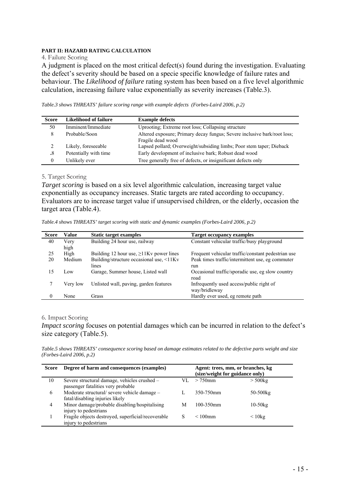## **PART II: HAZARD RATING CALCULATION**

#### 4. Failure Scoring

A judgment is placed on the most critical defect(s) found during the investigation. Evaluating the defect's severity should be based on a specie specific knowledge of failure rates and behaviour. The *Likelihood of failure* rating system has been based on a five level algorithmic calculation, increasing failure value exponentially as severity increases (Table.3).

*Table.3 shows THREATS' failure scoring range with example defects (Forbes-Laird 2006, p.2)* 

| <b>Score</b> | Likelihood of failure | <b>Example defects</b>                                                                        |
|--------------|-----------------------|-----------------------------------------------------------------------------------------------|
| 50           | Imminent/Immediate    | Uprooting; Extreme root loss; Collapsing structure                                            |
| 8            | Probable/Soon         | Altered exposure; Primary decay fungus; Severe inclusive bark/root loss;<br>Fragile dead wood |
|              | Likely, foreseeable   | Lapsed pollard; Overweight/subsiding limbs; Poor stem taper; Dieback                          |
| $.8\,$       | Potentially with time | Early development of inclusive bark; Robust dead wood                                         |
| $\theta$     | Unlikely ever         | Tree generally free of defects, or insignificant defects only                                 |

#### 5. Target Scoring

*Target scoring* is based on a six level algorithmic calculation, increasing target value exponentially as occupancy increases. Static targets are rated according to occupancy. Evaluators are to increase target value if unsupervised children, or the elderly, occasion the target area (Table.4).

*Table.4 shows THREATS' target scoring with static and dynamic examples (Forbes-Laird 2006, p.2)* 

| <b>Score</b>     | Value           | <b>Static target examples</b>                 | <b>Target occupancy examples</b>                   |
|------------------|-----------------|-----------------------------------------------|----------------------------------------------------|
| 40               | Very            | Building 24 hour use, railway                 | Constant vehicular traffic/busy playground         |
|                  | high            |                                               |                                                    |
| 25               | High            | Building 12 hour use, $\geq$ 11Kv power lines | Frequent vehicular traffic/constant pedestrian use |
| 20               | Medium          | Building/structure occasional use, <11Kv      | Peak times traffic/intermittent use, eg commuter   |
|                  |                 | lines                                         | run                                                |
| 15               | $_{\text{low}}$ | Garage, Summer house, Listed wall             | Occasional traffic/sporadic use, eg slow country   |
|                  |                 |                                               | road                                               |
|                  | Very low        | Unlisted wall, paving, garden features        | Infrequently used access/public right of           |
|                  |                 |                                               | way/bridleway                                      |
| $\boldsymbol{0}$ | None            | Grass                                         | Hardly ever used, eg remote path                   |

#### 6. Impact Scoring

*Impact scoring* focuses on potential damages which can be incurred in relation to the defect's size category (Table.5).

*Table.5 shows THREATS' consequence scoring based on damage estimates related to the defective parts weight and size (Forbes-Laird 2006, p.2)* 

| <b>Score</b>   | Degree of harm and consequences (examples)                                         |     | Agent: trees, mm, or branches, kg<br>(size/weight for guidance only) |              |
|----------------|------------------------------------------------------------------------------------|-----|----------------------------------------------------------------------|--------------|
| 10             | Severe structural damage, vehicles crushed -<br>passenger fatalities very probable | VI. | $>750$ mm                                                            | $>$ 500 $kg$ |
| 6              | Moderate structural/severe vehicle damage -<br>fatal/disabling injuries likely     |     | 350-750mm                                                            | 50-500kg     |
| $\overline{4}$ | Minor damage/probable disabling/hospitalising<br>injury to pedestrians             | M   | 100-350mm                                                            | $10-50kg$    |
|                | Fragile objects destroyed, superficial/recoverable<br>injury to pedestrians        | S   | $< 100$ mm                                                           | $\leq 10$ kg |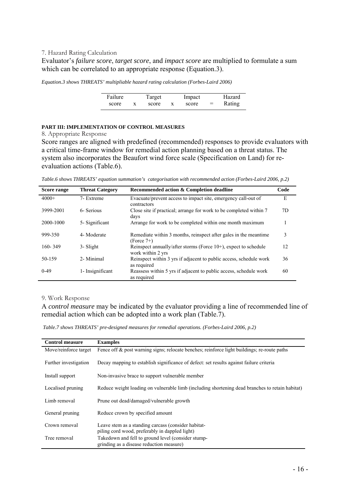#### 7. Hazard Rating Calculation

Evaluator's *failure score*, *target score*, and *impact score* are multiplied to formulate a sum which can be correlated to an appropriate response (Equation.3).

*Equation.3 shows THREATS' multipliable hazard rating calculation (Forbes-Laird 2006)* 

| Failure | Target | Impact |   | Hazard |
|---------|--------|--------|---|--------|
| score   | score  | score  | = | Rating |

#### **PART III: IMPLEMENTATION OF CONTROL MEASURES**

8. Appropriate Response

Score ranges are aligned with predefined (recommended) responses to provide evaluators with a critical time-frame window for remedial action planning based on a threat status. The system also incorporates the Beaufort wind force scale (Specification on Land) for reevaluation actions (Table.6).

*Table.6 shows THREATS' equation summation's categorisation with recommended action (Forbes-Laird 2006, p.2)* 

| Score range | <b>Threat Category</b> | Recommended action & Completion deadline                                                | Code |
|-------------|------------------------|-----------------------------------------------------------------------------------------|------|
| $4000+$     | 7- Extreme             | Evacuate/prevent access to impact site, emergency call-out of<br>contractors            | E    |
| 3999-2001   | 6- Serious             | Close site if practical; arrange for work to be completed within 7<br>days              | 7D   |
| 2000-1000   | 5- Significant         | Arrange for work to be completed within one month maximum                               | 1    |
| 999-350     | 4- Moderate            | Remediate within 3 months, reinspect after gales in the meantime<br>$(Force 7+)$        | 3    |
| $160 - 349$ | 3- Slight              | Reinspect annually/after storms (Force $10+$ ), expect to schedule<br>work within 2 yrs | 12   |
| 50-159      | 2- Minimal             | Reinspect within 3 yrs if adjacent to public access, schedule work<br>as required       | 36   |
| $0-49$      | 1- Insignificant       | Reassess within 5 yrs if adjacent to public access, schedule work<br>as required        | 60   |

#### 9. Work Response

A *control measure* may be indicated by the evaluator providing a line of recommended line of remedial action which can be adopted into a work plan (Table.7).

 *Table.7 shows THREATS' pre-designed measures for remedial operations. (Forbes-Laird 2006, p.2)* 

| <b>Control measure</b> | <b>Examples</b>                                                                                       |
|------------------------|-------------------------------------------------------------------------------------------------------|
| Move/reinforce target  | Fence off & post warning signs; relocate benches; reinforce light buildings; re-route paths           |
| Further investigation  | Decay mapping to establish significance of defect: set results against failure criteria               |
| Install support        | Non-invasive brace to support vulnerable member                                                       |
| Localised pruning      | Reduce weight loading on vulnerable limb (including shortening dead branches to retain habitat)       |
| Limb removal           | Prune out dead/damaged/vulnerable growth                                                              |
| General pruning        | Reduce crown by specified amount                                                                      |
| Crown removal          | Leave stem as a standing carcass (consider habitat-<br>piling cord wood, preferably in dappled light) |
| Tree removal           | Takedown and fell to ground level (consider stump-<br>grinding as a disease reduction measure)        |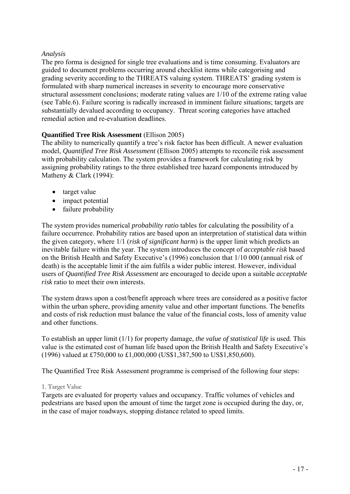## *Analysis*

The pro forma is designed for single tree evaluations and is time consuming. Evaluators are guided to document problems occurring around checklist items while categorising and grading severity according to the THREATS valuing system. THREATS' grading system is formulated with sharp numerical increases in severity to encourage more conservative structural assessment conclusions; moderate rating values are 1/10 of the extreme rating value (see Table.6). Failure scoring is radically increased in imminent failure situations; targets are substantially devalued according to occupancy. Threat scoring categories have attached remedial action and re-evaluation deadlines.

## **Quantified Tree Risk Assessment** (Ellison 2005)

The ability to numerically quantify a tree's risk factor has been difficult. A newer evaluation model, *Quantified Tree Risk Assessment* (Ellison 2005) attempts to reconcile risk assessment with probability calculation. The system provides a framework for calculating risk by assigning probability ratings to the three established tree hazard components introduced by Matheny & Clark (1994):

- target value
- impact potential
- failure probability

The system provides numerical *probability ratio* tables for calculating the possibility of a failure occurrence. Probability ratios are based upon an interpretation of statistical data within the given category, where 1/1 (*risk of significant harm*) is the upper limit which predicts an inevitable failure within the year. The system introduces the concept of *acceptable risk* based on the British Health and Safety Executive's (1996) conclusion that 1/10 000 (annual risk of death) is the acceptable limit if the aim fulfils a wider public interest. However, individual users of *Quantified Tree Risk Assessment* are encouraged to decide upon a suitable *acceptable risk* ratio to meet their own interests.

The system draws upon a cost/benefit approach where trees are considered as a positive factor within the urban sphere, providing amenity value and other important functions. The benefits and costs of risk reduction must balance the value of the financial costs, loss of amenity value and other functions.

To establish an upper limit (1/1) for property damage, *the value of statistical life* is used. This value is the estimated cost of human life based upon the British Health and Safety Executive's (1996) valued at £750,000 to £1,000,000 (US\$1,387,500 to US\$1,850,600).

The Quantified Tree Risk Assessment programme is comprised of the following four steps:

#### 1. Target Value

Targets are evaluated for property values and occupancy. Traffic volumes of vehicles and pedestrians are based upon the amount of time the target zone is occupied during the day, or, in the case of major roadways, stopping distance related to speed limits.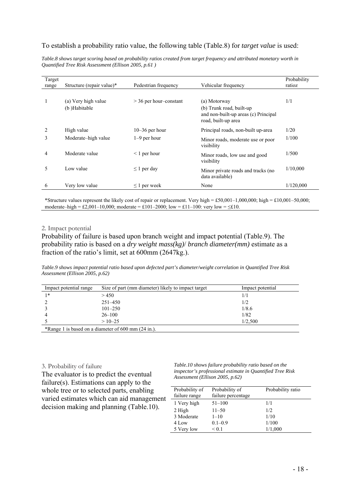## To establish a probability ratio value, the following table (Table.8) for *target value* is used:

*Table.8 shows target scoring based on probability ratios created from target frequency and attributed monetary worth in Quantified Tree Risk Assessment (Ellison 2005, p.61 )* 

| Target<br>range | Structure (repair value)*            | Pedestrian frequency     | Vehicular frequency                                                                                     | Probability<br>ratioz |
|-----------------|--------------------------------------|--------------------------|---------------------------------------------------------------------------------------------------------|-----------------------|
|                 | (a) Very high value<br>(b) Habitable | $>$ 36 per hour-constant | (a) Motorway<br>(b) Trunk road, built-up<br>and non-built-up areas (c) Principal<br>road, built-up area | 1/1                   |
| 2               | High value                           | $10-36$ per hour         | Principal roads, non-built up-area                                                                      | 1/20                  |
| 3               | Moderate-high value                  | $1-9$ per hour           | Minor roads, moderate use or poor<br>visibility                                                         | 1/100                 |
| 4               | Moderate value                       | $\leq 1$ per hour        | Minor roads, low use and good<br>visibility                                                             | 1/500                 |
| 5               | Low value                            | $\leq$ 1 per day         | Minor private roads and tracks (no<br>data available)                                                   | 1/10,000              |
| 6               | Very low value                       | $\leq$ 1 per week        | None                                                                                                    | 1/120,000             |

\*Structure values represent the likely cost of repair or replacement. Very high = £50,001–1,000,000; high = £10,001–50,000; moderate–high = £2,001–10,000; moderate = £101–2000; low = £11–100: very low =  $\leq$ £10.

#### 2. Impact potential

Probability of failure is based upon branch weight and impact potential (Table.9). The probability ratio is based on a *dry weight mass(kg)*/ *branch diameter(mm)* estimate as a fraction of the ratio's limit, set at 600mm (2647kg.).

*Table.9 shows impact potential ratio based upon defected part's diameter/weight correlation in Quantified Tree Risk Assessment (Ellison 2005, p.62)* 

| Impact potential range                                         | Size of part (mm diameter) likely to impact target | Impact potential |  |  |  |  |
|----------------------------------------------------------------|----------------------------------------------------|------------------|--|--|--|--|
| $1*$                                                           | > 450                                              | 1/1              |  |  |  |  |
|                                                                | $251 - 450$                                        | 1/2              |  |  |  |  |
|                                                                | $101 - 250$                                        | 1/8.6            |  |  |  |  |
|                                                                | $26 - 100$                                         | 1/82             |  |  |  |  |
|                                                                | $>10-25$                                           | 1/2.500          |  |  |  |  |
| *Range 1 is based on a diameter of 600 mm $(24 \text{ in.})$ . |                                                    |                  |  |  |  |  |

#### 3. Probability of failure

The evaluator is to predict the eventual failure(s). Estimations can apply to the whole tree or to selected parts, enabling varied estimates which can aid management decision making and planning (Table.10).

*Table.10 shows failure probability ratio based on the inspector's professional estimate in Quantified Tree Risk Assessment (Ellison 2005, p.62)* 

| Probability of<br>failure range | Probability of<br>failure percentage | Probability ratio |
|---------------------------------|--------------------------------------|-------------------|
| 1 Very high                     | $51 - 100$                           | 1/1               |
| 2 High                          | $11 - 50$                            | 1/2               |
| 3 Moderate                      | $1 - 10$                             | 1/10              |
| 4 Low                           | $0.1 - 0.9$                          | 1/100             |
| 5 Very low                      | ${}_{0.1}$                           | 1/1,000           |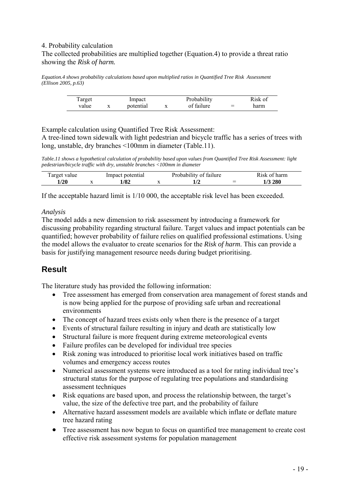## 4. Probability calculation The collected probabilities are multiplied together (Equation.4) to provide a threat ratio showing the *Risk of harm.*

*Equation.4 shows probability calculations based upon multiplied ratios in Quantified Tree Risk Assessment (Ellison 2005, p.63)*

| Target |           | Impact    | Probability |     | Risk of |
|--------|-----------|-----------|-------------|-----|---------|
| value  | $\Lambda$ | potential | of failure  | $=$ | harm    |

Example calculation using Quantified Tree Risk Assessment:

A tree-lined town sidewalk with light pedestrian and bicycle traffic has a series of trees with long, unstable, dry branches <100mm in diameter (Table.11).

*Table.11 shows a hypothetical calculation of probability based upon values from Quantified Tree Risk Assessment: light pedestrian/bicycle traffic with dry, unstable branches <100mm in diameter* 

| Target value | Impact potential | Probability of failure |   | Risk of harm |
|--------------|------------------|------------------------|---|--------------|
| 1/20         | ۔ 82اء           |                        | - | 1/3 280      |

If the acceptable hazard limit is 1/10 000, the acceptable risk level has been exceeded.

### *Analysis*

The model adds a new dimension to risk assessment by introducing a framework for discussing probability regarding structural failure. Target values and impact potentials can be quantified; however probability of failure relies on qualified professional estimations. Using the model allows the evaluator to create scenarios for the *Risk of harm*. This can provide a basis for justifying management resource needs during budget prioritising.

## **Result**

The literature study has provided the following information:

- Tree assessment has emerged from conservation area management of forest stands and is now being applied for the purpose of providing safe urban and recreational environments
- The concept of hazard trees exists only when there is the presence of a target
- Events of structural failure resulting in injury and death are statistically low
- Structural failure is more frequent during extreme meteorological events
- Failure profiles can be developed for individual tree species
- Risk zoning was introduced to prioritise local work initiatives based on traffic volumes and emergency access routes
- Numerical assessment systems were introduced as a tool for rating individual tree's structural status for the purpose of regulating tree populations and standardising assessment techniques
- Risk equations are based upon, and process the relationship between, the target's value, the size of the defective tree part, and the probability of failure
- Alternative hazard assessment models are available which inflate or deflate mature tree hazard rating
- Tree assessment has now begun to focus on quantified tree management to create cost effective risk assessment systems for population management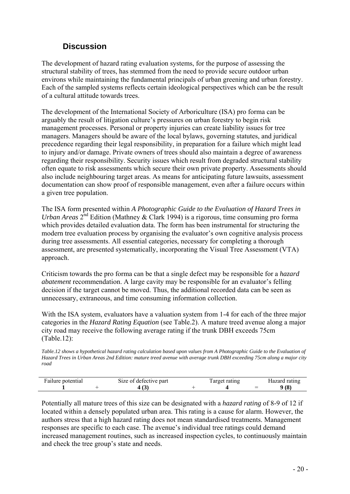## **Discussion**

The development of hazard rating evaluation systems, for the purpose of assessing the structural stability of trees, has stemmed from the need to provide secure outdoor urban environs while maintaining the fundamental principals of urban greening and urban forestry. Each of the sampled systems reflects certain ideological perspectives which can be the result of a cultural attitude towards trees.

The development of the International Society of Arboriculture (ISA) pro forma can be arguably the result of litigation culture's pressures on urban forestry to begin risk management processes. Personal or property injuries can create liability issues for tree managers. Managers should be aware of the local bylaws, governing statutes, and juridical precedence regarding their legal responsibility, in preparation for a failure which might lead to injury and/or damage. Private owners of trees should also maintain a degree of awareness regarding their responsibility. Security issues which result from degraded structural stability often equate to risk assessments which secure their own private property. Assessments should also include neighbouring target areas. As means for anticipating future lawsuits, assessment documentation can show proof of responsible management, even after a failure occurs within a given tree population.

The ISA form presented within *A Photographic Guide to the Evaluation of Hazard Trees in Urban Areas*  $2^{nd}$  Edition (Mathney & Clark 1994) is a rigorous, time consuming pro forma which provides detailed evaluation data. The form has been instrumental for structuring the modern tree evaluation process by organising the evaluator's own cognitive analysis process during tree assessments. All essential categories, necessary for completing a thorough assessment, are presented systematically, incorporating the Visual Tree Assessment (VTA) approach.

Criticism towards the pro forma can be that a single defect may be responsible for a *hazard abatement* recommendation. A large cavity may be responsible for an evaluator's felling decision if the target cannot be moved. Thus, the additional recorded data can be seen as unnecessary, extraneous, and time consuming information collection.

With the ISA system, evaluators have a valuation system from 1-4 for each of the three major categories in the *Hazard Rating Equation* (see Table.2). A mature treed avenue along a major city road may receive the following average rating if the trunk DBH exceeds 75cm (Table.12):

*Table.12 shows a hypothetical hazard rating calculation based upon values from A Photographic Guide to the Evaluation of Hazard Trees in Urban Areas 2nd Edition: mature treed avenue with average trunk DBH exceeding 75cm along a major city road* 

| Failure potential | Size of defective part | Target rating |                          | Hazard rating |
|-------------------|------------------------|---------------|--------------------------|---------------|
|                   |                        |               | $\overline{\phantom{a}}$ | 9(8)          |

Potentially all mature trees of this size can be designated with a *hazard rating* of 8-9 of 12 if located within a densely populated urban area. This rating is a cause for alarm. However, the authors stress that a high hazard rating does not mean standardised treatments. Management responses are specific to each case. The avenue's individual tree ratings could demand increased management routines, such as increased inspection cycles, to continuously maintain and check the tree group's state and needs.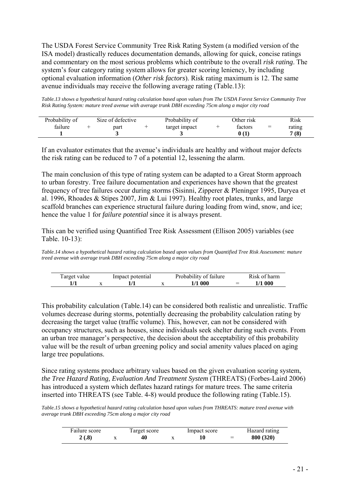The USDA Forest Service Community Tree Risk Rating System (a modified version of the ISA model) drastically reduces documentation demands, allowing for quick, concise ratings and commentary on the most serious problems which contribute to the overall *risk rating*. The system's four category rating system allows for greater scoring leniency, by including optional evaluation information (*Other risk factors*). Risk rating maximum is 12. The same avenue individuals may receive the following average rating (Table.13):

*Table.13 shows a hypothetical hazard rating calculation based upon values from The USDA Forest Service Community Tree Risk Rating System: mature treed avenue with average trunk DBH exceeding 75cm along a major city road* 

| Probability of | Size of defective | Probability of | Other risk |     | Risk   |
|----------------|-------------------|----------------|------------|-----|--------|
| failure        | part              | target impact  | factors    | $=$ | rating |
|                |                   |                |            |     | 7(8)   |

If an evaluator estimates that the avenue's individuals are healthy and without major defects the risk rating can be reduced to 7 of a potential 12, lessening the alarm.

The main conclusion of this type of rating system can be adapted to a Great Storm approach to urban forestry. Tree failure documentation and experiences have shown that the greatest frequency of tree failures occur during storms (Sisinni, Zipperer & Pleninger 1995, Duryea et al. 1996, Rhoades & Stipes 2007, Jim & Lui 1997). Healthy root plates, trunks, and large scaffold branches can experience structural failure during loading from wind, snow, and ice; hence the value 1 for *failure potential* since it is always present.

This can be verified using Quantified Tree Risk Assessment (Ellison 2005) variables (see Table. 10-13):

*Table.14 shows a hypothetical hazard rating calculation based upon values from Quantified Tree Risk Assessment: mature treed avenue with average trunk DBH exceeding 75cm along a major city road* 

| Target value | Impact potential | Probability of failure |     | Risk of harm |
|--------------|------------------|------------------------|-----|--------------|
|              |                  | 1/1 000                | $-$ | 1/1 000      |

This probability calculation (Table.14) can be considered both realistic and unrealistic. Traffic volumes decrease during storms, potentially decreasing the probability calculation rating by decreasing the target value (traffic volume). This, however, can not be considered with occupancy structures, such as houses, since individuals seek shelter during such events. From an urban tree manager's perspective, the decision about the acceptability of this probability value will be the result of urban greening policy and social amenity values placed on aging large tree populations.

Since rating systems produce arbitrary values based on the given evaluation scoring system, *the Tree Hazard Rating, Evaluation And Treatment System* (THREATS) (Forbes-Laird 2006) has introduced a system which deflates hazard ratings for mature trees. The same criteria inserted into THREATS (see Table. 4-8) would produce the following rating (Table.15).

*Table.15 shows a hypothetical hazard rating calculation based upon values from THREATS: mature treed avenue with average trunk DBH exceeding 75cm along a major city road* 

| Failure score | Target score | Impact score |     | Hazard rating |
|---------------|--------------|--------------|-----|---------------|
| 2(.8)         | 40           | 10           | $=$ | 800 (320)     |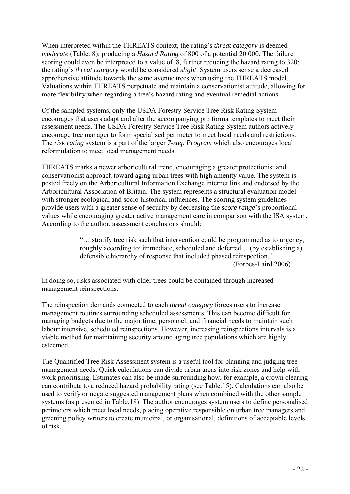When interpreted within the THREATS context, the rating's *threat category* is deemed *moderate* (Table. 8); producing a *Hazard Rating* of 800 of a potential 20 000. The failure scoring could even be interpreted to a value of .8, further reducing the hazard rating to 320; the rating's *threat category* would be considered *slight*. System users sense a decreased apprehensive attitude towards the same avenue trees when using the THREATS model. Valuations within THREATS perpetuate and maintain a conservationist attitude, allowing for more flexibility when regarding a tree's hazard rating and eventual remedial actions.

Of the sampled systems, only the USDA Forestry Service Tree Risk Rating System encourages that users adapt and alter the accompanying pro forma templates to meet their assessment needs. The USDA Forestry Service Tree Risk Rating System authors actively encourage tree manager to form specialised perimeter to meet local needs and restrictions. The *risk rating* system is a part of the larger *7-step Program* which also encourages local reformulation to meet local management needs.

THREATS marks a newer arboricultural trend, encouraging a greater protectionist and conservationist approach toward aging urban trees with high amenity value. The system is posted freely on the Arboricultural Information Exchange internet link and endorsed by the Arboricultural Association of Britain. The system represents a structural evaluation model with stronger ecological and socio-historical influences. The scoring system guidelines provide users with a greater sense of security by decreasing the *score range*'s proportional values while encouraging greater active management care in comparison with the ISA system. According to the author, assessment conclusions should:

> "….stratify tree risk such that intervention could be programmed as to urgency, roughly according to: immediate, scheduled and deferred… (by establishing a) defensible hierarchy of response that included phased reinspection." (Forbes-Laird 2006)

In doing so, risks associated with older trees could be contained through increased management reinspections.

The reinspection demands connected to each *threat category* forces users to increase management routines surrounding scheduled assessments. This can become difficult for managing budgets due to the major time, personnel, and financial needs to maintain such labour intensive, scheduled reinspections. However, increasing reinspections intervals is a viable method for maintaining security around aging tree populations which are highly esteemed.

The Quantified Tree Risk Assessment system is a useful tool for planning and judging tree management needs. Quick calculations can divide urban areas into risk zones and help with work prioritising. Estimates can also be made surrounding how, for example, a crown clearing can contribute to a reduced hazard probability rating (see Table.15). Calculations can also be used to verify or negate suggested management plans when combined with the other sample systems (as presented in Table.18). The author encourages system users to define personalised perimeters which meet local needs, placing operative responsible on urban tree managers and greening policy writers to create municipal, or organisational, definitions of acceptable levels of risk.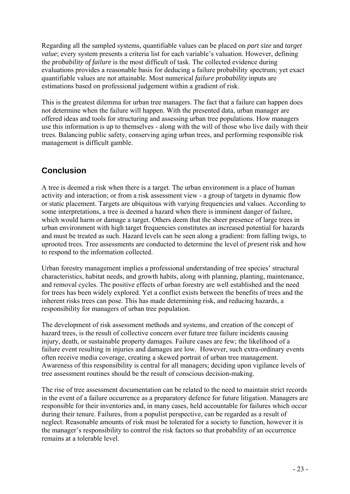Regarding all the sampled systems, quantifiable values can be placed on *part size* and *target value*; every system presents a criteria list for each variable's valuation. However, defining the *probability of failure* is the most difficult of task. The collected evidence during evaluations provides a reasonable basis for deducing a failure probability spectrum; yet exact quantifiable values are not attainable. Most numerical *failure probability* inputs are estimations based on professional judgement within a gradient of risk.

This is the greatest dilemma for urban tree managers. The fact that a failure can happen does not determine when the failure will happen. With the presented data, urban manager are offered ideas and tools for structuring and assessing urban tree populations. How managers use this information is up to themselves - along with the will of those who live daily with their trees. Balancing public safety, conserving aging urban trees, and performing responsible risk management is difficult gamble.

# **Conclusion**

A tree is deemed a risk when there is a target. The urban environment is a place of human activity and interaction; or from a risk assessment view - a group of targets in dynamic flow or static placement. Targets are ubiquitous with varying frequencies and values. According to some interpretations, a tree is deemed a hazard when there is imminent danger of failure, which would harm or damage a target. Others deem that the sheer presence of large trees in urban environment with high target frequencies constitutes an increased potential for hazards and must be treated as such. Hazard levels can be seen along a gradient: from falling twigs, to uprooted trees. Tree assessments are conducted to determine the level of *present* risk and how to respond to the information collected.

Urban forestry management implies a professional understanding of tree species' structural characteristics, habitat needs, and growth habits, along with planning, planting, maintenance, and removal cycles. The positive effects of urban forestry are well established and the need for trees has been widely explored. Yet a conflict exists between the benefits of trees and the inherent risks trees can pose. This has made determining risk, and reducing hazards, a responsibility for managers of urban tree population.

The development of risk assessment methods and systems, and creation of the concept of hazard trees, is the result of collective concern over future tree failure incidents causing injury, death, or sustainable property damages. Failure cases are few; the likelihood of a failure event resulting in injuries and damages are low. However, such extra-ordinary events often receive media coverage, creating a skewed portrait of urban tree management. Awareness of this responsibility is central for all managers; deciding upon vigilance levels of tree assessment routines should be the result of conscious decision-making.

The rise of tree assessment documentation can be related to the need to maintain strict records in the event of a failure occurrence as a preparatory defence for future litigation. Managers are responsible for their inventories and, in many cases, held accountable for failures which occur during their tenure. Failures, from a populist perspective, can be regarded as a result of neglect. Reasonable amounts of risk must be tolerated for a society to function, however it is the manager's responsibility to control the risk factors so that probability of an occurrence remains at a tolerable level.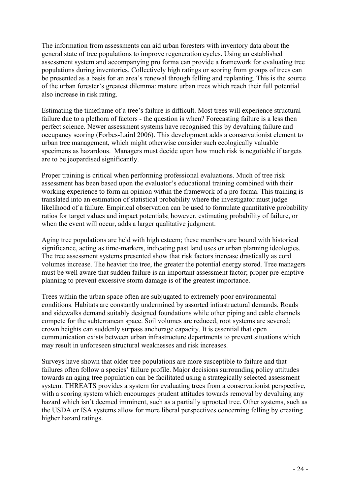The information from assessments can aid urban foresters with inventory data about the general state of tree populations to improve regeneration cycles. Using an established assessment system and accompanying pro forma can provide a framework for evaluating tree populations during inventories. Collectively high ratings or scoring from groups of trees can be presented as a basis for an area's renewal through felling and replanting. This is the source of the urban forester's greatest dilemma: mature urban trees which reach their full potential also increase in risk rating.

Estimating the timeframe of a tree's failure is difficult. Most trees will experience structural failure due to a plethora of factors - the question is when? Forecasting failure is a less then perfect science. Newer assessment systems have recognised this by devaluing failure and occupancy scoring (Forbes-Laird 2006). This development adds a conservationist element to urban tree management, which might otherwise consider such ecologically valuable specimens as hazardous. Managers must decide upon how much risk is negotiable if targets are to be jeopardised significantly.

Proper training is critical when performing professional evaluations. Much of tree risk assessment has been based upon the evaluator's educational training combined with their working experience to form an opinion within the framework of a pro forma. This training is translated into an estimation of statistical probability where the investigator must judge likelihood of a failure. Empirical observation can be used to formulate quantitative probability ratios for target values and impact potentials; however, estimating probability of failure, or when the event will occur, adds a larger qualitative judgment.

Aging tree populations are held with high esteem; these members are bound with historical significance, acting as time-markers, indicating past land uses or urban planning ideologies. The tree assessment systems presented show that risk factors increase drastically as cord volumes increase. The heavier the tree, the greater the potential energy stored. Tree managers must be well aware that sudden failure is an important assessment factor; proper pre-emptive planning to prevent excessive storm damage is of the greatest importance.

Trees within the urban space often are subjugated to extremely poor environmental conditions. Habitats are constantly undermined by assorted infrastructural demands. Roads and sidewalks demand suitably designed foundations while other piping and cable channels compete for the subterranean space. Soil volumes are reduced, root systems are severed; crown heights can suddenly surpass anchorage capacity. It is essential that open communication exists between urban infrastructure departments to prevent situations which may result in unforeseen structural weaknesses and risk increases.

Surveys have shown that older tree populations are more susceptible to failure and that failures often follow a species' failure profile. Major decisions surrounding policy attitudes towards an aging tree population can be facilitated using a strategically selected assessment system. THREATS provides a system for evaluating trees from a conservationist perspective, with a scoring system which encourages prudent attitudes towards removal by devaluing any hazard which isn't deemed imminent, such as a partially uprooted tree. Other systems, such as the USDA or ISA systems allow for more liberal perspectives concerning felling by creating higher hazard ratings.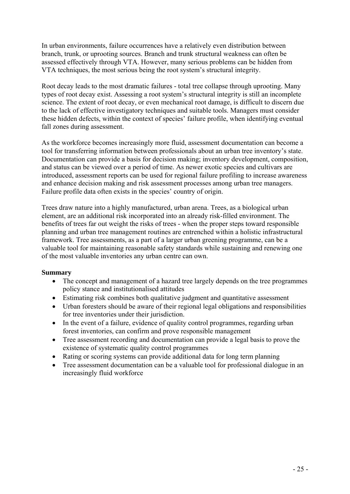In urban environments, failure occurrences have a relatively even distribution between branch, trunk, or uprooting sources. Branch and trunk structural weakness can often be assessed effectively through VTA. However, many serious problems can be hidden from VTA techniques, the most serious being the root system's structural integrity.

Root decay leads to the most dramatic failures - total tree collapse through uprooting. Many types of root decay exist. Assessing a root system's structural integrity is still an incomplete science. The extent of root decay, or even mechanical root damage, is difficult to discern due to the lack of effective investigatory techniques and suitable tools. Managers must consider these hidden defects, within the context of species' failure profile, when identifying eventual fall zones during assessment.

As the workforce becomes increasingly more fluid, assessment documentation can become a tool for transferring information between professionals about an urban tree inventory's state. Documentation can provide a basis for decision making; inventory development, composition, and status can be viewed over a period of time. As newer exotic species and cultivars are introduced, assessment reports can be used for regional failure profiling to increase awareness and enhance decision making and risk assessment processes among urban tree managers. Failure profile data often exists in the species' country of origin.

Trees draw nature into a highly manufactured, urban arena. Trees, as a biological urban element, are an additional risk incorporated into an already risk-filled environment. The benefits of trees far out weight the risks of trees - when the proper steps toward responsible planning and urban tree management routines are entrenched within a holistic infrastructural framework. Tree assessments, as a part of a larger urban greening programme, can be a valuable tool for maintaining reasonable safety standards while sustaining and renewing one of the most valuable inventories any urban centre can own.

## **Summary**

- The concept and management of a hazard tree largely depends on the tree programmes policy stance and institutionalised attitudes
- Estimating risk combines both qualitative judgment and quantitative assessment
- Urban foresters should be aware of their regional legal obligations and responsibilities for tree inventories under their jurisdiction.
- In the event of a failure, evidence of quality control programmes, regarding urban forest inventories, can confirm and prove responsible management
- Tree assessment recording and documentation can provide a legal basis to prove the existence of systematic quality control programmes
- Rating or scoring systems can provide additional data for long term planning
- Tree assessment documentation can be a valuable tool for professional dialogue in an increasingly fluid workforce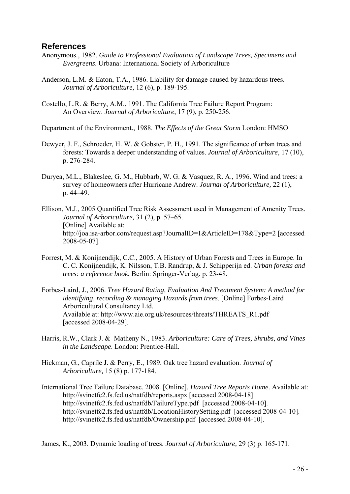## **References**

- Anonymous., 1982. *Guide to Professional Evaluation of Landscape Trees, Specimens and Evergreens*. Urbana: International Society of Arboriculture
- Anderson, L.M. & Eaton, T.A., 1986. Liability for damage caused by hazardous trees. *Journal of Arboriculture,* 12 (6), p. 189-195.
- Costello, L.R. & Berry, A.M., 1991. The California Tree Failure Report Program: An Overview. *Journal of Arboriculture*, 17 (9), p. 250-256.
- Department of the Environment., 1988. *The Effects of the Great Storm* London: HMSO
- Dewyer, J. F., Schroeder, H. W. & Gobster, P. H., 1991. The significance of urban trees and forests: Towards a deeper understanding of values. *Journal of Arboriculture*, 17 (10), p. 276-284.
- Duryea, M.L., Blakeslee, G. M., Hubbarb, W. G. & Vasquez, R. A., 1996. Wind and trees: a survey of homeowners after Hurricane Andrew. *Journal of Arboriculture,* 22 (1), p. 44–49.
- Ellison, M.J., 2005 Quantified Tree Risk Assessment used in Management of Amenity Trees. *Journal of Arboriculture,* 31 (2), p. 57–65. [Online] Available at: <http://joa.isa-arbor.com/request.asp?JournalID=1&ArticleID=178&Type=2> [accessed 2008-05-07].
- Forrest, M. & Konijnendijk, C.C., 2005. A History of Urban Forests and Trees in Europe. In C. C. Konijnendijk, K. Nilsson, T.B. Randrup, & J. Schipperijn ed. *Urban forests and trees: a reference book.* Berlin: Springer-Verlag. p. 23-48.
- Forbes-Laird, J., 2006. *Tree Hazard Rating, Evaluation And Treatment System: A method for identifying, recording & managing Hazards from trees*. [Online] Forbes-Laird Arboricultural Consultancy Ltd. Available at: [http://www.aie.org.uk/resources/threats/THREATS\\_R1.pdf](http://www.aie.org.uk/resources/threats/THREATS_R1.pdf) [accessed 2008-04-29].
- Harris, R.W., Clark J. & Matheny N., 1983. *Arboriculture: Care of Trees, Shrubs, and Vines in the Landscape*. London: Prentice-Hall.
- Hickman, G., Caprile J. & Perry, E., 1989. Oak tree hazard evaluation. *Journal of Arboriculture,* 15 (8) p. 177-184.
- International Tree Failure Database. 2008. [Online]. *Hazard Tree Reports Home*. Available at: <http://svinetfc2.fs.fed.us/natfdb/reports.aspx>[accessed 2008-04-18] <http://svinetfc2.fs.fed.us/natfdb/FailureType.pdf> [accessed 2008-04-10]. <http://svinetfc2.fs.fed.us/natfdb/LocationHistorySetting.pdf> [accessed 2008-04-10]. <http://svinetfc2.fs.fed.us/natfdb/Ownership.pdf> [accessed 2008-04-10].

James, K., 2003. Dynamic loading of trees. *Journal of Arboriculture,* 29 (3) p. 165-171.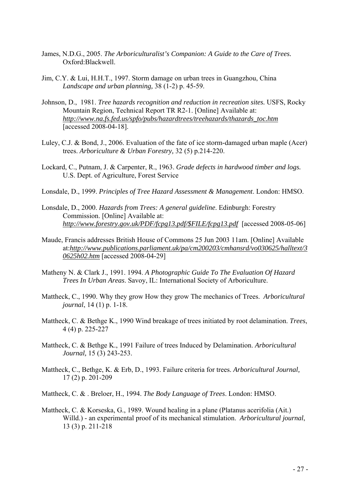- James, N.D.G., 2005. *The Arboriculturalist's Companion: A Guide to the Care of Trees.* Oxford:Blackwell.
- Jim, C.Y. & Lui, H.H.T., 1997. Storm damage on urban trees in Guangzhou, China *Landscape and urban planning,* 38 (1-2) p. 45-59.
- Johnson, D., 1981. *Tree hazards recognition and reduction in recreation sites.* USFS, Rocky Mountain Region, Technical Report TR R2-1. [Online] Available at: *[http://www.na.fs.fed.us/spfo/pubs/hazardtrees/treehazards/thazards\\_toc.htm](http://www.na.fs.fed.us/spfo/pubs/hazardtrees/treehazards/thazards_toc.htm)* [accessed 2008-04-18].
- Luley, C.J. & Bond, J., 2006. Evaluation of the fate of ice storm-damaged urban maple (Acer) trees. *Arboriculture & Urban Forestry,* 32 (5) p.214-220.
- Lockard, C., Putnam, J. & Carpenter, R., 1963. *Grade defects in hardwood timber and logs.* U.S. Dept. of Agriculture, Forest Service
- Lonsdale, D., 1999. *Principles of Tree Hazard Assessment & Management*. London: HMSO.
- Lonsdale, D., 2000. *Hazards from Trees: A general guideline*. Edinburgh: Forestry Commission. [Online] Available at: *[http://www.forestry.gov.uk/PDF/fcpg13.pdf/\\$FILE/fcpg13.pdf](http://www.forestry.gov.uk/PDF/fcpg13.pdf/$FILE/fcpg13.pdf)* [accessed 2008-05-06]
- Maude, Francis addresses British House of Commons 25 Jun 2003 11am. [Online] Available at:*[http://www.publications.parliament.uk/pa/cm200203/cmhansrd/vo030625/halltext/3](http://www.publications.parliament.uk/pa/cm200203/cmhansrd/vo030625/halltext/30625h02.htm) [0625h02.htm](http://www.publications.parliament.uk/pa/cm200203/cmhansrd/vo030625/halltext/30625h02.htm)* [accessed 2008-04-29]
- Matheny N. & Clark J., 1991. 1994. *A Photographic Guide To The Evaluation Of Hazard Trees In Urban Areas*. Savoy, IL: International Society of Arboriculture.
- Mattheck, C., 1990. Why they grow How they grow The mechanics of Trees. *Arboricultural journal*, 14 (1) p. 1-18.
- Mattheck, C. & Bethge K., 1990 Wind breakage of trees initiated by root delamination. *Trees*, 4 (4) p. 225-227
- Mattheck, C. & Bethge K., 1991 Failure of trees Induced by Delamination. *Arboricultural Journal,* 15 (3) 243-253.
- Mattheck, C., Bethge, K. & Erb, D., 1993. Failure criteria for trees. *Arboricultural Journal,* 17 (2) p. 201-209
- Mattheck, C. & . Breloer, H., 1994. *The Body Language of Trees*. London: HMSO.
- [Mattheck, C.](http://apps.isiknowledge.com/OneClickSearch.do?product=UA&search_mode=OneClickSearch&doc=83&db_id=&SID=V11jhLclHIHGDmeJkNi&field=AU&value=Mattheck,%20C.&ut=19900638822&pos=1) & [Korseska, G.,](http://apps.isiknowledge.com/OneClickSearch.do?product=UA&search_mode=OneClickSearch&doc=83&db_id=&SID=V11jhLclHIHGDmeJkNi&field=AU&value=Korseska,%20G.&ut=19900638822&pos=1) 1989. Wound healing in a plane (Platanus acerifolia (Ait.) Willd.) - an experimental proof of its mechanical stimulation. *Arboricultural journal*, 13 (3) p. 211-218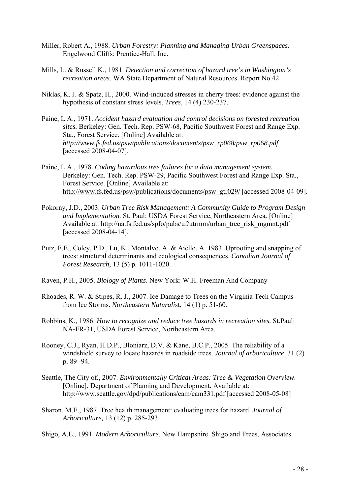- Miller, Robert A., 1988. *Urban Forestry: Planning and Managing Urban Greenspaces.*  Engelwood Cliffs: Prentice-Hall, Inc.
- Mills, L. & Russell K., 1981. *Detection and correction of hazard tree's in Washington's recreation areas*. WA State Department of Natural Resources. Report No.42
- Niklas, K. J. & Spatz, H., 2000. Wind-induced stresses in cherry trees: evidence against the hypothesis of constant stress levels. *Trees*, 14 (4) 230-237.
- Paine, L.A., 1971. *Accident hazard evaluation and control decisions on forested recreation sites.* Berkeley: Gen. Tech. Rep. PSW-68, Pacific Southwest Forest and Range Exp. Sta., Forest Service. [Online] Available at: *[http://www.fs.fed.us/psw/publications/documents/psw\\_rp068/psw\\_rp068.pdf](http://www.fs.fed.us/psw/publications/documents/psw_rp068/psw_rp068.pdf)* [accessed 2008-04-07].
- Paine, L.A., 1978. *Coding hazardous tree failures for a data management system.* Berkeley: Gen. Tech. Rep. PSW-29, Pacific Southwest Forest and Range Exp. Sta., Forest Service. [Online] Available at: [http://www.fs.fed.us/psw/publications/documents/psw\\_gtr029/](http://www.fs.fed.us/psw/publications/documents/psw_gtr029/) [accessed 2008-04-09].
- Pokorny, J.D., 2003. *Urban Tree Risk Management: A Community Guide to Program Design and Implementation.* St. Paul: USDA Forest Service, Northeastern Area. [Online] Available at: [http://na.fs.fed.us/spfo/pubs/uf/utrmm/urban\\_tree\\_risk\\_mgmnt.pdf](http://na.fs.fed.us/spfo/pubs/uf/utrmm/urban_tree_risk_mgmnt.pdf) [accessed 2008-04-14].
- Putz, F.E., Coley, P.D., Lu, K., Montalvo, A. & Aiello, A. 1983. Uprooting and snapping of trees: structural determinants and ecological consequences. *Canadian Journal of Forest Research*, 13 (5) p. 1011-1020.
- Raven, P.H., 2005. *Biology of Plants*. New York: W.H. Freeman And Company
- Rhoades, R. W. [&](http://www.bioone.org/perlserv/?request=get-document&issn=1092-6194&volume=14&issue=1&page=51&ct=1#cor1) Stipes, R. J., 2007. Ice Damage to Trees on the Virginia Tech Campus from Ice Storms. *Northeastern Naturalis*t, 14 (1) p. 51-60.
- Robbins, K., 1986. *How to recognize and reduce tree hazards in recreation sites.* St.Paul: NA-FR-31, USDA Forest Service, Northeastern Area.
- Rooney, C.J., Ryan, H.D.P., Bloniarz, D.V. & Kane, B.C.P., 2005. The reliability of a windshield survey to locate hazards in roadside trees. *Journal of arboriculture,* 31 (2) p. 89 -94.
- Seattle, The City of., 2007. *Environmentally Critical Areas: Tree & Vegetation Overview*. [Online]. Department of Planning and Development. Available at: <http://www.seattle.gov/dpd/publications/cam/cam331.pdf> [accessed 2008-05-08]
- Sharon, M.E., 1987. Tree health management: evaluating trees for hazard. *Journal of Arboriculture,* 13 (12) p. 285-293.
- Shigo, A.L., 1991. *Modern Arboriculture*. New Hampshire. Shigo and Trees, Associates.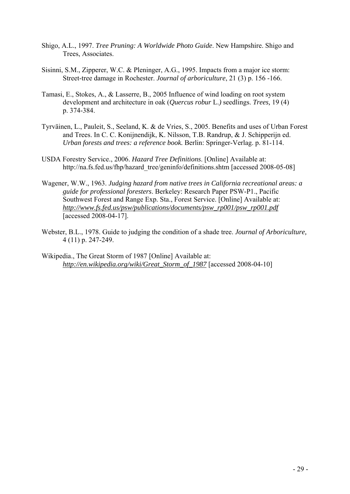- Shigo, A.L., 1997. *Tree Pruning: A Worldwide Photo Guide*. New Hampshire. Shigo and Trees, Associates.
- Sisinni, S.M., Zipperer, W.C. & Pleninger, A.G., 1995. Impacts from a major ice storm: Street-tree damage in Rochester. *Journal of arboriculture*, 21 (3) p. 156 -166.
- Tamasi, E., Stokes, A., & Lasserre, B., 2005 Influence of wind loading on root system development and architecture in oak (*Quercus robur* L.*)* seedlings. *Trees,* 19 (4) p. 374-384.
- Tyrväinen, L., Pauleit, S., Seeland, K. & de Vries, S., 2005. Benefits and uses of Urban Forest and Trees. In C. C. Konijnendijk, K. Nilsson, T.B. Randrup, & J. Schipperijn ed. *Urban forests and trees: a reference book.* Berlin: Springer-Verlag. p. 81-114.
- USDA Forestry Service., 2006. *Hazard Tree Definitions*. [Online] Available at: [http://na.fs.fed.us/fhp/hazard\\_tree/geninfo/definitions.shtm](http://na.fs.fed.us/fhp/hazard_tree/geninfo/definitions.shtm) [accessed 2008-05-08]
- Wagener, W.W., 1963. *Judging hazard from native trees in California recreational areas: a guide for professional foresters*. Berkeley: Research Paper PSW-P1., Pacific Southwest Forest and Range Exp. Sta., Forest Service. [Online] Available at: *[http://www.fs.fed.us/psw/publications/documents/psw\\_rp001/psw\\_rp001.pdf](http://www.fs.fed.us/psw/publications/documents/psw_rp001/psw_rp001.pdf)* [accessed 2008-04-17].
- Webster, B.L., 1978. Guide to judging the condition of a shade tree. *Journal of Arboriculture,*  4 (11) p. 247-249.
- Wikipedia., The Great Storm of 1987 [Online] Available at: *[http://en.wikipedia.org/wiki/Great\\_Storm\\_of\\_1987](http://en.wikipedia.org/wiki/Great_Storm_of_1987)* [accessed 2008-04-10]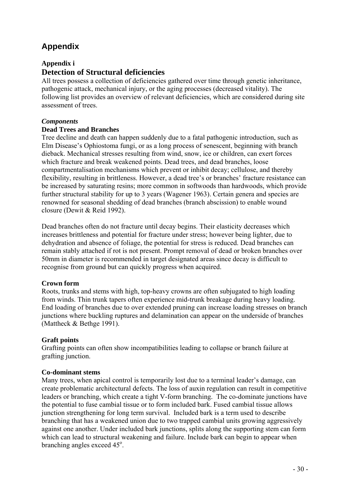# **Appendix**

## **Appendix i Detection of Structural deficiencies**

All trees possess a collection of deficiencies gathered over time through genetic inheritance, pathogenic attack, mechanical injury, or the aging processes (decreased vitality). The following list provides an overview of relevant deficiencies, which are considered during site assessment of trees.

## *Components*

### **Dead Trees and Branches**

Tree decline and death can happen suddenly due to a fatal pathogenic introduction, such as Elm Disease's Ophiostoma fungi, or as a long process of senescent, beginning with branch dieback. Mechanical stresses resulting from wind, snow, ice or children, can exert forces which fracture and break weakened points. Dead trees, and dead branches, loose compartmentalisation mechanisms which prevent or inhibit decay; cellulose, and thereby flexibility, resulting in brittleness. However, a dead tree's or branches' fracture resistance can be increased by saturating resins; more common in softwoods than hardwoods, which provide further structural stability for up to 3 years (Wagener 1963). Certain genera and species are renowned for seasonal shedding of dead branches (branch abscission) to enable wound closure (Dewit & Reid 1992).

Dead branches often do not fracture until decay begins. Their elasticity decreases which increases brittleness and potential for fracture under stress; however being lighter, due to dehydration and absence of foliage, the potential for stress is reduced. Dead branches can remain stably attached if rot is not present. Prompt removal of dead or broken branches over 50mm in diameter is recommended in target designated areas since decay is difficult to recognise from ground but can quickly progress when acquired.

## **Crown form**

Roots, trunks and stems with high, top-heavy crowns are often subjugated to high loading from winds. Thin trunk tapers often experience mid-trunk breakage during heavy loading. End loading of branches due to over extended pruning can increase loading stresses on branch junctions where buckling ruptures and delamination can appear on the underside of branches (Mattheck & Bethge 1991).

## **Graft points**

Grafting points can often show incompatibilities leading to collapse or branch failure at grafting junction.

#### **Co-dominant stems**

Many trees, when apical control is temporarily lost due to a terminal leader's damage, can create problematic architectural defects. The loss of auxin regulation can result in competitive leaders or branching, which create a tight V-form branching. The co-dominate junctions have the potential to fuse cambial tissue or to form included bark. Fused cambial tissue allows junction strengthening for long term survival. Included bark is a term used to describe branching that has a weakened union due to two trapped cambial units growing aggressively against one another. Under included bark junctions, splits along the supporting stem can form which can lead to structural weakening and failure. Include bark can begin to appear when branching angles exceed 45°.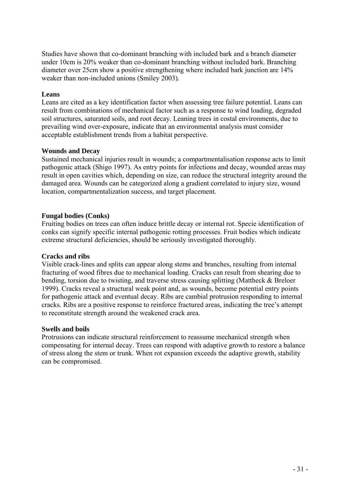Studies have shown that co-dominant branching with included bark and a branch diameter under 10cm is 20% weaker than co-dominant branching without included bark. Branching diameter over 25cm show a positive strengthening where included bark junction are 14% weaker than non-included unions (Smiley 2003).

#### **Leans**

Leans are cited as a key identification factor when assessing tree failure potential. Leans can result from combinations of mechanical factor such as a response to wind loading, degraded soil structures, saturated soils, and root decay. Leaning trees in costal environments, due to prevailing wind over-exposure, indicate that an environmental analysis must consider acceptable establishment trends from a habitat perspective.

#### **Wounds and Decay**

Sustained mechanical injuries result in wounds; a compartmentalisation response acts to limit pathogenic attack (Shigo 1997). As entry points for infections and decay, wounded areas may result in open cavities which, depending on size, can reduce the structural integrity around the damaged area. Wounds can be categorized along a gradient correlated to injury size, wound location, compartmentalization success, and target placement.

#### **Fungal bodies (Conks)**

Fruiting bodies on trees can often induce brittle decay or internal rot. Specie identification of conks can signify specific internal pathogenic rotting processes. Fruit bodies which indicate extreme structural deficiencies, should be seriously investigated thoroughly.

#### **Cracks and ribs**

Visible crack-lines and splits can appear along stems and branches, resulting from internal fracturing of wood fibres due to mechanical loading. Cracks can result from shearing due to bending, torsion due to twisting, and traverse stress causing splitting (Mattheck & Breloer 1999). Cracks reveal a structural weak point and, as wounds, become potential entry points for pathogenic attack and eventual decay. Ribs are cambial protrusion responding to internal cracks. Ribs are a positive response to reinforce fractured areas, indicating the tree's attempt to reconstitute strength around the weakened crack area.

#### **Swells and boils**

Protrusions can indicate structural reinforcement to reassume mechanical strength when compensating for internal decay. Trees can respond with adaptive growth to restore a balance of stress along the stem or trunk. When rot expansion exceeds the adaptive growth, stability can be compromised.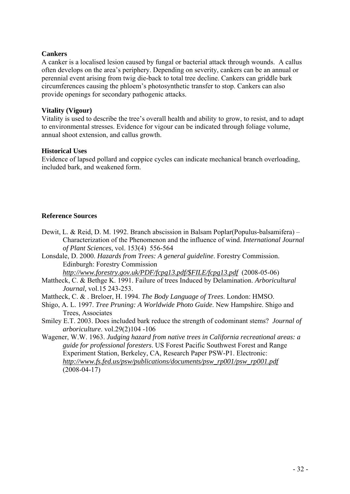### **Cankers**

A canker is a localised lesion caused by fungal or bacterial attack through wounds. A callus often develops on the area's periphery. Depending on severity, cankers can be an annual or perennial event arising from twig die-back to total tree decline. Cankers can griddle bark circumferences causing the phloem's photosynthetic transfer to stop. Cankers can also provide openings for secondary pathogenic attacks.

## **Vitality (Vigour)**

Vitality is used to describe the tree's overall health and ability to grow, to resist, and to adapt to environmental stresses. Evidence for vigour can be indicated through foliage volume, annual shoot extension, and callus growth.

### **Historical Uses**

Evidence of lapsed pollard and coppice cycles can indicate mechanical branch overloading, included bark, and weakened form.

## **Reference Sources**

- Dewit, L. & Reid, D. M. 1992. Branch abscission in Balsam Poplar(Populus-balsamifera) Characterization of the Phenomenon and the influence of wind. *International Journal of Plant Sciences*, vol. 153(4) 556-564
- Lonsdale, D. 2000. *Hazards from Trees: A general guideline*. Forestry Commission. Edinburgh: Forestry Commission

*[http://www.forestry.gov.uk/PDF/fcpg13.pdf/\\$FILE/fcpg13.pdf](http://www.forestry.gov.uk/PDF/fcpg13.pdf/$FILE/fcpg13.pdf)* (2008-05-06)

- Mattheck, C. & Bethge K. 1991. Failure of trees Induced by Delamination. *Arboricultural Journal,* vol.15 243-253.
- Mattheck, C. & . Breloer, H. 1994. *The Body Language of Trees*. London: HMSO.
- Shigo, A. L. 1997. *Tree Pruning: A Worldwide Photo Guide*. New Hampshire. Shigo and Trees, Associates
- Smiley E.T. 2003. Does included bark reduce the strength of codominant stems? *Journal of arboriculture*. vol.29(2)104 -106

Wagener, W.W. 1963. *Judging hazard from native trees in California recreational areas: a guide for professional foresters*. US Forest Pacific Southwest Forest and Range Experiment Station, Berkeley, CA, Research Paper PSW-P1. Electronic: *[http://www.fs.fed.us/psw/publications/documents/psw\\_rp001/psw\\_rp001.pdf](http://www.fs.fed.us/psw/publications/documents/psw_rp001/psw_rp001.pdf)* (2008-04-17)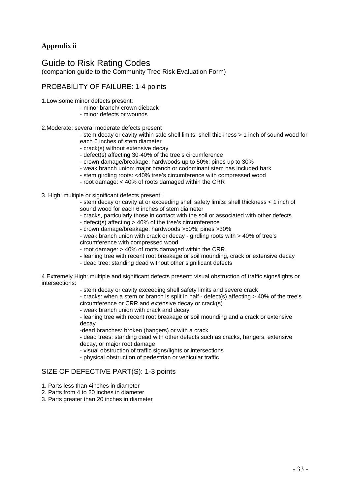## **Appendix ii**

## Guide to Risk Rating Codes

(companion guide to the Community Tree Risk Evaluation Form)

## PROBABILITY OF FAILURE: 1-4 points

- 1.Low:some minor defects present:
	- minor branch/ crown dieback
	- minor defects or wounds

#### 2.Moderate: several moderate defects present

- stem decay or cavity within safe shell limits: shell thickness > 1 inch of sound wood for each 6 inches of stem diameter
- crack(s) without extensive decay
- defect(s) affecting 30-40% of the tree's circumference
- crown damage/breakage: hardwoods up to 50%; pines up to 30%
- weak branch union: major branch or codominant stem has included bark
- stem girdling roots: <40% tree's circumference with compressed wood
- root damage: < 40% of roots damaged within the CRR
- 3. High: multiple or significant defects present:
	- stem decay or cavity at or exceeding shell safety limits: shell thickness < 1 inch of sound wood for each 6 inches of stem diameter
		- cracks, particularly those in contact with the soil or associated with other defects
	- defect(s) affecting > 40% of the tree's circumference
	- crown damage/breakage: hardwoods >50%; pines >30%
	- weak branch union with crack or decay girdling roots with > 40% of tree's circumference with compressed wood
	- root damage: > 40% of roots damaged within the CRR.
	- leaning tree with recent root breakage or soil mounding, crack or extensive decay
	- dead tree: standing dead without other significant defects

4.Extremely High: multiple and significant defects present; visual obstruction of traffic signs/lights or intersections:

- stem decay or cavity exceeding shell safety limits and severe crack

- cracks: when a stem or branch is split in half - defect(s) affecting > 40% of the tree's circumference or CRR and extensive decay or crack(s)

- weak branch union with crack and decay

- leaning tree with recent root breakage or soil mounding and a crack or extensive decay

-dead branches: broken (hangers) or with a crack

- dead trees: standing dead with other defects such as cracks, hangers, extensive decay, or major root damage

- visual obstruction of traffic signs/lights or intersections
- physical obstruction of pedestrian or vehicular traffic

#### SIZE OF DEFECTIVE PART(S): 1-3 points

- 1. Parts less than 4inches in diameter
- 2. Parts from 4 to 20 inches in diameter
- 3. Parts greater than 20 inches in diameter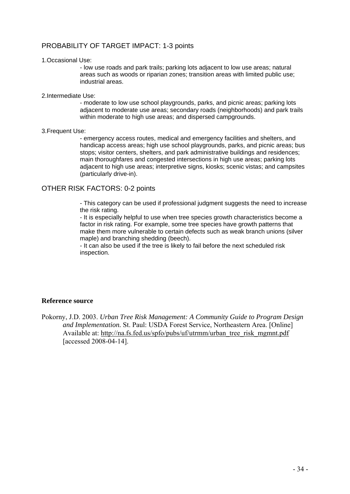## PROBABILITY OF TARGET IMPACT: 1-3 points

#### 1.Occasional Use:

- low use roads and park trails; parking lots adjacent to low use areas; natural areas such as woods or riparian zones; transition areas with limited public use; industrial areas.

#### 2.Intermediate Use:

- moderate to low use school playgrounds, parks, and picnic areas; parking lots adjacent to moderate use areas; secondary roads (neighborhoods) and park trails within moderate to high use areas; and dispersed campgrounds.

#### 3.Frequent Use:

- emergency access routes, medical and emergency facilities and shelters, and handicap access areas; high use school playgrounds, parks, and picnic areas; bus stops; visitor centers, shelters, and park administrative buildings and residences; main thoroughfares and congested intersections in high use areas; parking lots adjacent to high use areas; interpretive signs, kiosks; scenic vistas; and campsites (particularly drive-in).

#### OTHER RISK FACTORS: 0-2 points

- This category can be used if professional judgment suggests the need to increase the risk rating.

- It is especially helpful to use when tree species growth characteristics become a factor in risk rating. For example, some tree species have growth patterns that make them more vulnerable to certain defects such as weak branch unions (silver maple) and branching shedding (beech).

- It can also be used if the tree is likely to fail before the next scheduled risk inspection.

#### **Reference source**

Pokorny, J.D. 2003. *Urban Tree Risk Management: A Community Guide to Program Design and Implementation.* St. Paul: USDA Forest Service, Northeastern Area. [Online] Available at: [http://na.fs.fed.us/spfo/pubs/uf/utrmm/urban\\_tree\\_risk\\_mgmnt.pdf](http://na.fs.fed.us/spfo/pubs/uf/utrmm/urban_tree_risk_mgmnt.pdf) [accessed 2008-04-14].